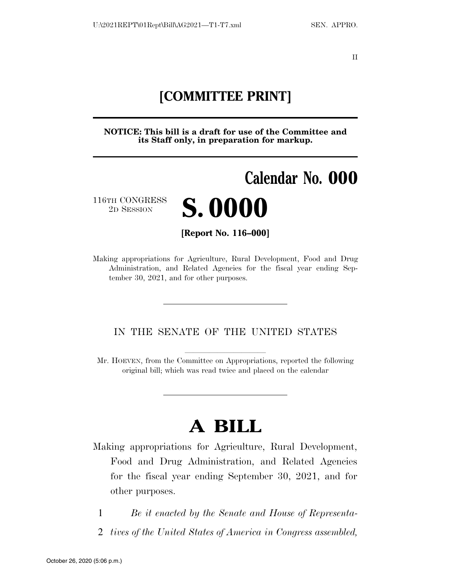II

### **[COMMITTEE PRINT]**

**NOTICE: This bill is a draft for use of the Committee and its Staff only, in preparation for markup.** 

# **Calendar No. 000**

116TH CONGRESS



**[Report No. 116–000]** 

Making appropriations for Agriculture, Rural Development, Food and Drug Administration, and Related Agencies for the fiscal year ending September 30, 2021, and for other purposes.

#### IN THE SENATE OF THE UNITED STATES

Mr. HOEVEN, from the Committee on Appropriations, reported the following original bill; which was read twice and placed on the calendar

## **A BILL**

Making appropriations for Agriculture, Rural Development, Food and Drug Administration, and Related Agencies for the fiscal year ending September 30, 2021, and for other purposes.

1 *Be it enacted by the Senate and House of Representa-*

2 *tives of the United States of America in Congress assembled,*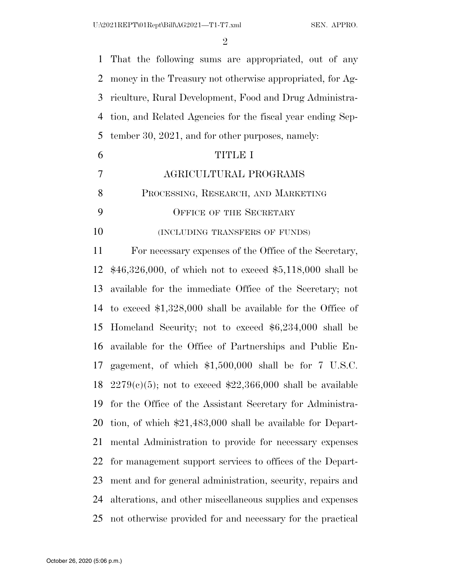$\mathfrak{D}$ 

 That the following sums are appropriated, out of any money in the Treasury not otherwise appropriated, for Ag- riculture, Rural Development, Food and Drug Administra- tion, and Related Agencies for the fiscal year ending Sep- tember 30, 2021, and for other purposes, namely: TITLE I AGRICULTURAL PROGRAMS PROCESSING, RESEARCH, AND MARKETING 9 OFFICE OF THE SECRETARY **(INCLUDING TRANSFERS OF FUNDS)**  For necessary expenses of the Office of the Secretary, \$46,326,000, of which not to exceed \$5,118,000 shall be available for the immediate Office of the Secretary; not to exceed \$1,328,000 shall be available for the Office of Homeland Security; not to exceed \$6,234,000 shall be available for the Office of Partnerships and Public En- gagement, of which \$1,500,000 shall be for 7 U.S.C. 18 2279(c)(5); not to exceed  $$22,366,000$  shall be available for the Office of the Assistant Secretary for Administra- tion, of which \$21,483,000 shall be available for Depart- mental Administration to provide for necessary expenses for management support services to offices of the Depart- ment and for general administration, security, repairs and alterations, and other miscellaneous supplies and expenses not otherwise provided for and necessary for the practical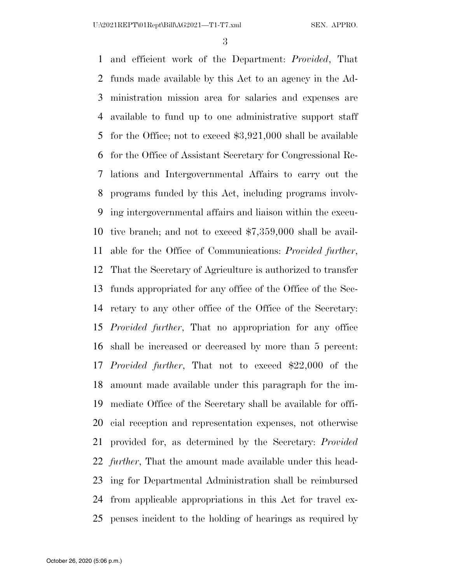and efficient work of the Department: *Provided*, That funds made available by this Act to an agency in the Ad- ministration mission area for salaries and expenses are available to fund up to one administrative support staff for the Office; not to exceed \$3,921,000 shall be available for the Office of Assistant Secretary for Congressional Re- lations and Intergovernmental Affairs to carry out the programs funded by this Act, including programs involv- ing intergovernmental affairs and liaison within the execu- tive branch; and not to exceed \$7,359,000 shall be avail- able for the Office of Communications: *Provided further*, That the Secretary of Agriculture is authorized to transfer funds appropriated for any office of the Office of the Sec- retary to any other office of the Office of the Secretary: *Provided further*, That no appropriation for any office shall be increased or decreased by more than 5 percent: *Provided further*, That not to exceed \$22,000 of the amount made available under this paragraph for the im- mediate Office of the Secretary shall be available for offi- cial reception and representation expenses, not otherwise provided for, as determined by the Secretary: *Provided further*, That the amount made available under this head- ing for Departmental Administration shall be reimbursed from applicable appropriations in this Act for travel ex-penses incident to the holding of hearings as required by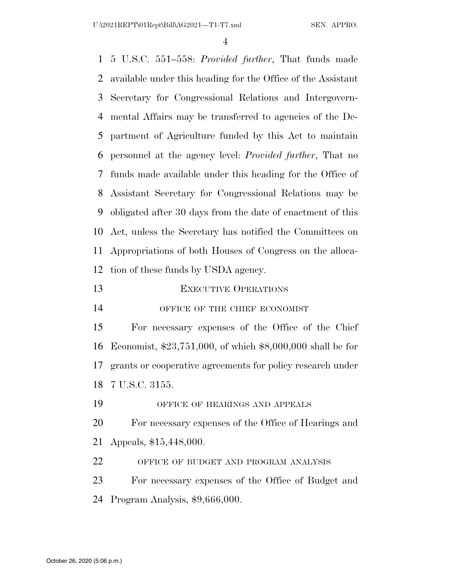5 U.S.C. 551–558: *Provided further*, That funds made available under this heading for the Office of the Assistant Secretary for Congressional Relations and Intergovern- mental Affairs may be transferred to agencies of the De- partment of Agriculture funded by this Act to maintain personnel at the agency level: *Provided further*, That no funds made available under this heading for the Office of Assistant Secretary for Congressional Relations may be obligated after 30 days from the date of enactment of this Act, unless the Secretary has notified the Committees on Appropriations of both Houses of Congress on the alloca- tion of these funds by USDA agency. 13 EXECUTIVE OPERATIONS 14 OFFICE OF THE CHIEF ECONOMIST For necessary expenses of the Office of the Chief Economist, \$23,751,000, of which \$8,000,000 shall be for grants or cooperative agreements for policy research under 7 U.S.C. 3155. OFFICE OF HEARINGS AND APPEALS For necessary expenses of the Office of Hearings and Appeals, \$15,448,000. OFFICE OF BUDGET AND PROGRAM ANALYSIS For necessary expenses of the Office of Budget and

Program Analysis, \$9,666,000.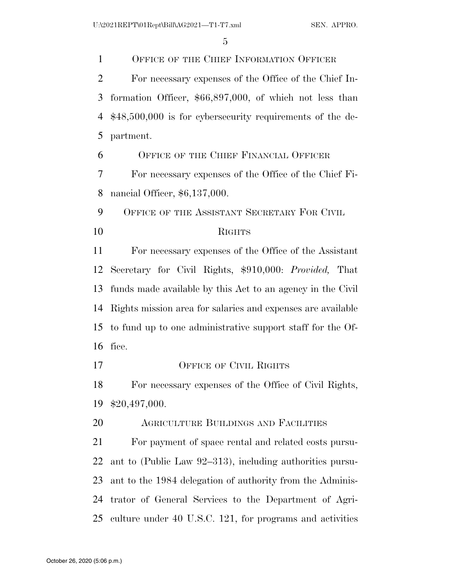OFFICE OF THE CHIEF INFORMATION OFFICER For necessary expenses of the Office of the Chief In- formation Officer, \$66,897,000, of which not less than \$48,500,000 is for cybersecurity requirements of the de- partment. OFFICE OF THE CHIEF FINANCIAL OFFICER For necessary expenses of the Office of the Chief Fi- nancial Officer, \$6,137,000. 9 OFFICE OF THE ASSISTANT SECRETARY FOR CIVIL RIGHTS For necessary expenses of the Office of the Assistant Secretary for Civil Rights, \$910,000: *Provided,* That funds made available by this Act to an agency in the Civil Rights mission area for salaries and expenses are available to fund up to one administrative support staff for the Of- fice. 17 OFFICE OF CIVIL RIGHTS For necessary expenses of the Office of Civil Rights, \$20,497,000. AGRICULTURE BUILDINGS AND FACILITIES For payment of space rental and related costs pursu- ant to (Public Law 92–313), including authorities pursu- ant to the 1984 delegation of authority from the Adminis- trator of General Services to the Department of Agri-culture under 40 U.S.C. 121, for programs and activities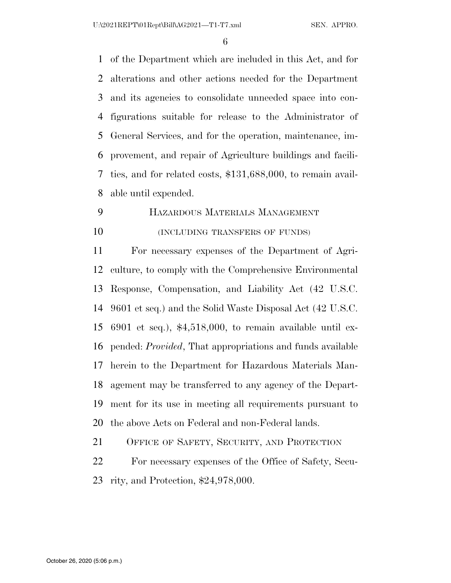U:\2021REPT\01Rept\Bill\AG2021—T1-T7.xml SEN. APPRO.

 of the Department which are included in this Act, and for alterations and other actions needed for the Department and its agencies to consolidate unneeded space into con- figurations suitable for release to the Administrator of General Services, and for the operation, maintenance, im- provement, and repair of Agriculture buildings and facili- ties, and for related costs, \$131,688,000, to remain avail-able until expended.

 HAZARDOUS MATERIALS MANAGEMENT **(INCLUDING TRANSFERS OF FUNDS)** 

 For necessary expenses of the Department of Agri- culture, to comply with the Comprehensive Environmental Response, Compensation, and Liability Act (42 U.S.C. 9601 et seq.) and the Solid Waste Disposal Act (42 U.S.C. 6901 et seq.), \$4,518,000, to remain available until ex- pended: *Provided*, That appropriations and funds available herein to the Department for Hazardous Materials Man- agement may be transferred to any agency of the Depart- ment for its use in meeting all requirements pursuant to the above Acts on Federal and non-Federal lands.

OFFICE OF SAFETY, SECURITY, AND PROTECTION

 For necessary expenses of the Office of Safety, Secu-rity, and Protection, \$24,978,000.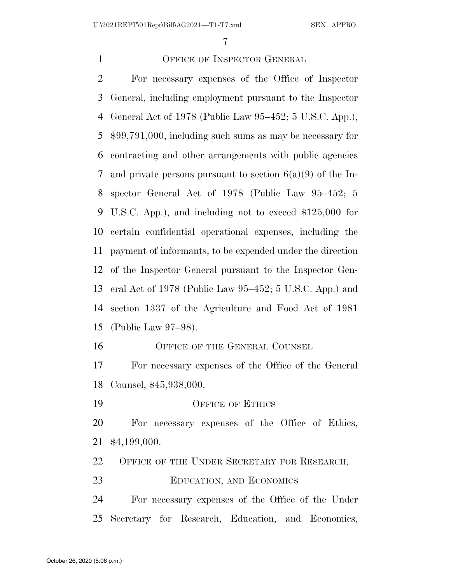For necessary expenses of the Office of Inspector

OFFICE OF INSPECTOR GENERAL

 General, including employment pursuant to the Inspector General Act of 1978 (Public Law 95–452; 5 U.S.C. App.), \$99,791,000, including such sums as may be necessary for contracting and other arrangements with public agencies and private persons pursuant to section 6(a)(9) of the In- spector General Act of 1978 (Public Law 95–452; 5 U.S.C. App.), and including not to exceed \$125,000 for certain confidential operational expenses, including the payment of informants, to be expended under the direction of the Inspector General pursuant to the Inspector Gen- eral Act of 1978 (Public Law 95–452; 5 U.S.C. App.) and section 1337 of the Agriculture and Food Act of 1981 (Public Law 97–98). 16 OFFICE OF THE GENERAL COUNSEL For necessary expenses of the Office of the General Counsel, \$45,938,000. 19 OFFICE OF ETHICS For necessary expenses of the Office of Ethics, \$4,199,000. OFFICE OF THE UNDER SECRETARY FOR RESEARCH, EDUCATION, AND ECONOMICS For necessary expenses of the Office of the Under Secretary for Research, Education, and Economics, October 26, 2020 (5:06 p.m.)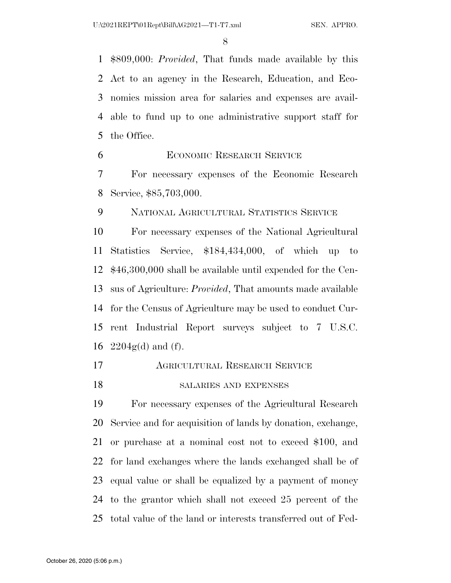\$809,000: *Provided*, That funds made available by this Act to an agency in the Research, Education, and Eco- nomics mission area for salaries and expenses are avail- able to fund up to one administrative support staff for the Office.

ECONOMIC RESEARCH SERVICE

 For necessary expenses of the Economic Research Service, \$85,703,000.

NATIONAL AGRICULTURAL STATISTICS SERVICE

 For necessary expenses of the National Agricultural Statistics Service, \$184,434,000, of which up to \$46,300,000 shall be available until expended for the Cen- sus of Agriculture: *Provided*, That amounts made available for the Census of Agriculture may be used to conduct Cur- rent Industrial Report surveys subject to 7 U.S.C.  $2204g(d)$  and (f).

- AGRICULTURAL RESEARCH SERVICE
- SALARIES AND EXPENSES

 For necessary expenses of the Agricultural Research Service and for acquisition of lands by donation, exchange, or purchase at a nominal cost not to exceed \$100, and for land exchanges where the lands exchanged shall be of equal value or shall be equalized by a payment of money to the grantor which shall not exceed 25 percent of the total value of the land or interests transferred out of Fed-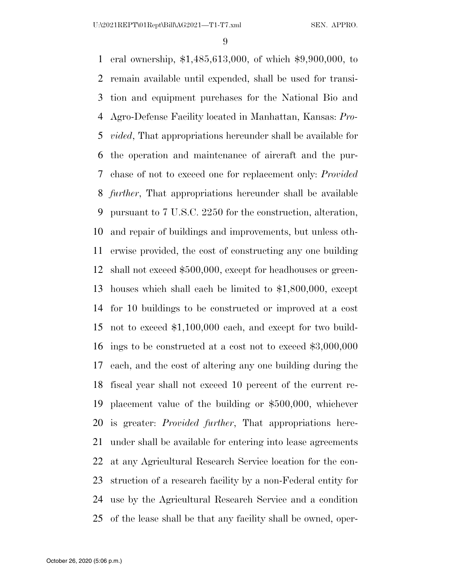eral ownership, \$1,485,613,000, of which \$9,900,000, to remain available until expended, shall be used for transi- tion and equipment purchases for the National Bio and Agro-Defense Facility located in Manhattan, Kansas: *Pro- vided*, That appropriations hereunder shall be available for the operation and maintenance of aircraft and the pur- chase of not to exceed one for replacement only: *Provided further*, That appropriations hereunder shall be available pursuant to 7 U.S.C. 2250 for the construction, alteration, and repair of buildings and improvements, but unless oth- erwise provided, the cost of constructing any one building shall not exceed \$500,000, except for headhouses or green- houses which shall each be limited to \$1,800,000, except for 10 buildings to be constructed or improved at a cost not to exceed \$1,100,000 each, and except for two build- ings to be constructed at a cost not to exceed \$3,000,000 each, and the cost of altering any one building during the fiscal year shall not exceed 10 percent of the current re- placement value of the building or \$500,000, whichever is greater: *Provided further*, That appropriations here- under shall be available for entering into lease agreements at any Agricultural Research Service location for the con- struction of a research facility by a non-Federal entity for use by the Agricultural Research Service and a condition of the lease shall be that any facility shall be owned, oper-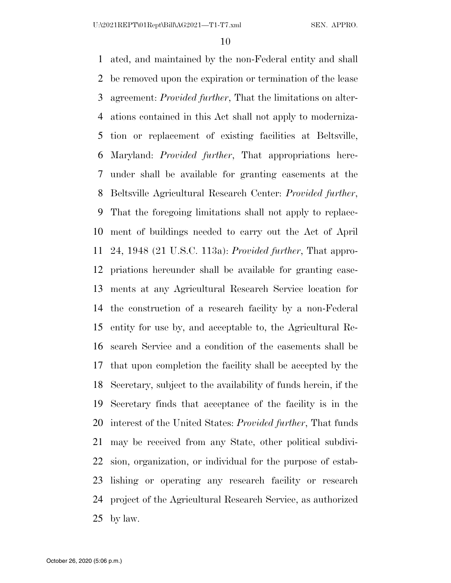ated, and maintained by the non-Federal entity and shall be removed upon the expiration or termination of the lease agreement: *Provided further*, That the limitations on alter- ations contained in this Act shall not apply to moderniza- tion or replacement of existing facilities at Beltsville, Maryland: *Provided further*, That appropriations here- under shall be available for granting easements at the Beltsville Agricultural Research Center: *Provided further*, That the foregoing limitations shall not apply to replace- ment of buildings needed to carry out the Act of April 24, 1948 (21 U.S.C. 113a): *Provided further*, That appro- priations hereunder shall be available for granting ease- ments at any Agricultural Research Service location for the construction of a research facility by a non-Federal entity for use by, and acceptable to, the Agricultural Re- search Service and a condition of the easements shall be that upon completion the facility shall be accepted by the Secretary, subject to the availability of funds herein, if the Secretary finds that acceptance of the facility is in the interest of the United States: *Provided further*, That funds may be received from any State, other political subdivi- sion, organization, or individual for the purpose of estab- lishing or operating any research facility or research project of the Agricultural Research Service, as authorized by law.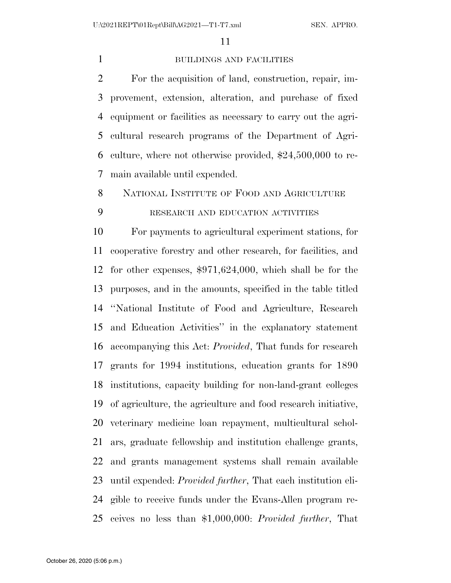#### BUILDINGS AND FACILITIES

 For the acquisition of land, construction, repair, im- provement, extension, alteration, and purchase of fixed equipment or facilities as necessary to carry out the agri- cultural research programs of the Department of Agri- culture, where not otherwise provided, \$24,500,000 to re-main available until expended.

NATIONAL INSTITUTE OF FOOD AND AGRICULTURE

#### RESEARCH AND EDUCATION ACTIVITIES

 For payments to agricultural experiment stations, for cooperative forestry and other research, for facilities, and for other expenses, \$971,624,000, which shall be for the purposes, and in the amounts, specified in the table titled ''National Institute of Food and Agriculture, Research and Education Activities'' in the explanatory statement accompanying this Act: *Provided*, That funds for research grants for 1994 institutions, education grants for 1890 institutions, capacity building for non-land-grant colleges of agriculture, the agriculture and food research initiative, veterinary medicine loan repayment, multicultural schol- ars, graduate fellowship and institution challenge grants, and grants management systems shall remain available until expended: *Provided further*, That each institution eli- gible to receive funds under the Evans-Allen program re-ceives no less than \$1,000,000: *Provided further*, That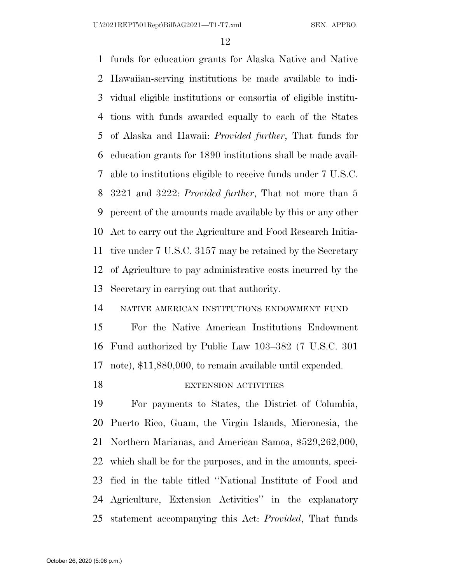funds for education grants for Alaska Native and Native Hawaiian-serving institutions be made available to indi- vidual eligible institutions or consortia of eligible institu- tions with funds awarded equally to each of the States of Alaska and Hawaii: *Provided further*, That funds for education grants for 1890 institutions shall be made avail- able to institutions eligible to receive funds under 7 U.S.C. 3221 and 3222: *Provided further*, That not more than 5 percent of the amounts made available by this or any other Act to carry out the Agriculture and Food Research Initia- tive under 7 U.S.C. 3157 may be retained by the Secretary of Agriculture to pay administrative costs incurred by the Secretary in carrying out that authority.

NATIVE AMERICAN INSTITUTIONS ENDOWMENT FUND

 For the Native American Institutions Endowment Fund authorized by Public Law 103–382 (7 U.S.C. 301 note), \$11,880,000, to remain available until expended.

#### 18 EXTENSION ACTIVITIES

 For payments to States, the District of Columbia, Puerto Rico, Guam, the Virgin Islands, Micronesia, the Northern Marianas, and American Samoa, \$529,262,000, which shall be for the purposes, and in the amounts, speci- fied in the table titled ''National Institute of Food and Agriculture, Extension Activities'' in the explanatory statement accompanying this Act: *Provided*, That funds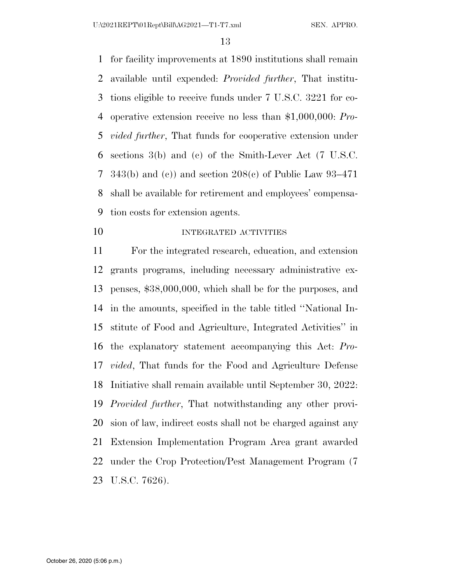U:\2021REPT\01Rept\Bill\AG2021—T1-T7.xml SEN. APPRO.

 for facility improvements at 1890 institutions shall remain available until expended: *Provided further*, That institu- tions eligible to receive funds under 7 U.S.C. 3221 for co- operative extension receive no less than \$1,000,000: *Pro- vided further*, That funds for cooperative extension under sections 3(b) and (c) of the Smith-Lever Act (7 U.S.C. 343(b) and (c)) and section 208(c) of Public Law 93–471 shall be available for retirement and employees' compensa-tion costs for extension agents.

10 INTEGRATED ACTIVITIES

 For the integrated research, education, and extension grants programs, including necessary administrative ex- penses, \$38,000,000, which shall be for the purposes, and in the amounts, specified in the table titled ''National In- stitute of Food and Agriculture, Integrated Activities'' in the explanatory statement accompanying this Act: *Pro- vided*, That funds for the Food and Agriculture Defense Initiative shall remain available until September 30, 2022: *Provided further*, That notwithstanding any other provi- sion of law, indirect costs shall not be charged against any Extension Implementation Program Area grant awarded under the Crop Protection/Pest Management Program (7 U.S.C. 7626).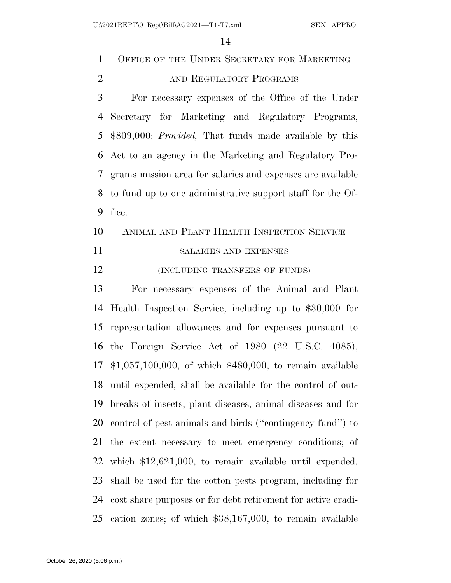OFFICE OF THE UNDER SECRETARY FOR MARKETING 2 AND REGULATORY PROGRAMS

 For necessary expenses of the Office of the Under Secretary for Marketing and Regulatory Programs, \$809,000: *Provided,* That funds made available by this Act to an agency in the Marketing and Regulatory Pro- grams mission area for salaries and expenses are available to fund up to one administrative support staff for the Of-fice.

#### ANIMAL AND PLANT HEALTH INSPECTION SERVICE

SALARIES AND EXPENSES

**(INCLUDING TRANSFERS OF FUNDS)** 

 For necessary expenses of the Animal and Plant Health Inspection Service, including up to \$30,000 for representation allowances and for expenses pursuant to the Foreign Service Act of 1980 (22 U.S.C. 4085), \$1,057,100,000, of which \$480,000, to remain available until expended, shall be available for the control of out- breaks of insects, plant diseases, animal diseases and for control of pest animals and birds (''contingency fund'') to the extent necessary to meet emergency conditions; of which \$12,621,000, to remain available until expended, shall be used for the cotton pests program, including for cost share purposes or for debt retirement for active eradi-cation zones; of which \$38,167,000, to remain available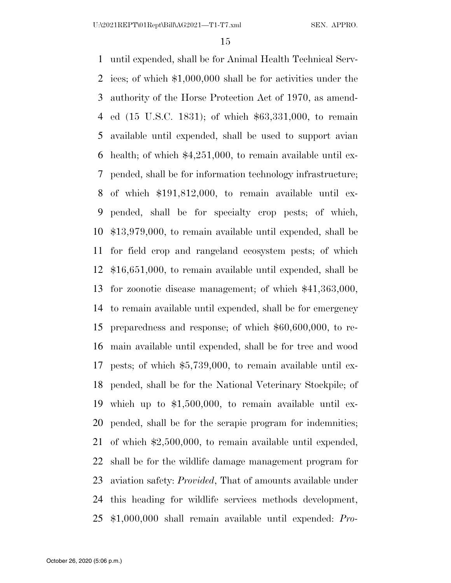until expended, shall be for Animal Health Technical Serv- ices; of which \$1,000,000 shall be for activities under the authority of the Horse Protection Act of 1970, as amend- ed (15 U.S.C. 1831); of which \$63,331,000, to remain available until expended, shall be used to support avian health; of which \$4,251,000, to remain available until ex- pended, shall be for information technology infrastructure; of which \$191,812,000, to remain available until ex- pended, shall be for specialty crop pests; of which, \$13,979,000, to remain available until expended, shall be for field crop and rangeland ecosystem pests; of which \$16,651,000, to remain available until expended, shall be for zoonotic disease management; of which \$41,363,000, to remain available until expended, shall be for emergency preparedness and response; of which \$60,600,000, to re- main available until expended, shall be for tree and wood pests; of which \$5,739,000, to remain available until ex- pended, shall be for the National Veterinary Stockpile; of which up to \$1,500,000, to remain available until ex- pended, shall be for the scrapie program for indemnities; of which \$2,500,000, to remain available until expended, shall be for the wildlife damage management program for aviation safety: *Provided*, That of amounts available under this heading for wildlife services methods development, \$1,000,000 shall remain available until expended: *Pro-*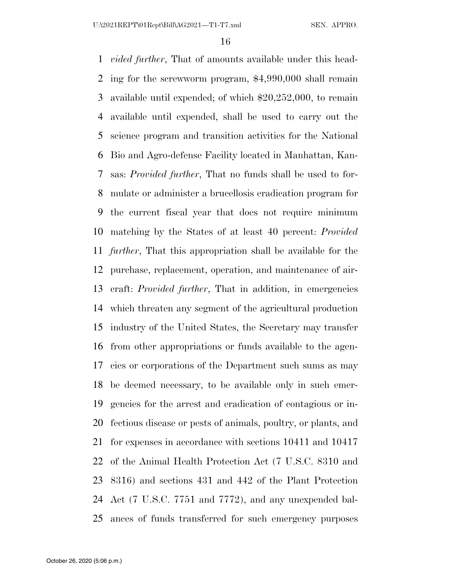*vided further*, That of amounts available under this head- ing for the screwworm program, \$4,990,000 shall remain available until expended; of which \$20,252,000, to remain available until expended, shall be used to carry out the science program and transition activities for the National Bio and Agro-defense Facility located in Manhattan, Kan- sas: *Provided further*, That no funds shall be used to for- mulate or administer a brucellosis eradication program for the current fiscal year that does not require minimum matching by the States of at least 40 percent: *Provided further*, That this appropriation shall be available for the purchase, replacement, operation, and maintenance of air- craft: *Provided further*, That in addition, in emergencies which threaten any segment of the agricultural production industry of the United States, the Secretary may transfer from other appropriations or funds available to the agen- cies or corporations of the Department such sums as may be deemed necessary, to be available only in such emer- gencies for the arrest and eradication of contagious or in- fectious disease or pests of animals, poultry, or plants, and for expenses in accordance with sections 10411 and 10417 of the Animal Health Protection Act (7 U.S.C. 8310 and 8316) and sections 431 and 442 of the Plant Protection Act (7 U.S.C. 7751 and 7772), and any unexpended bal-ances of funds transferred for such emergency purposes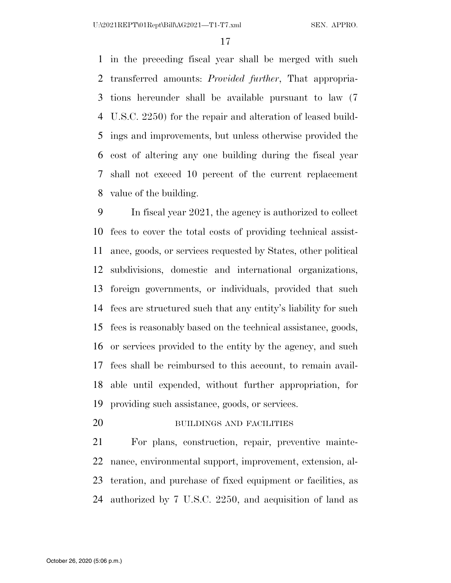in the preceding fiscal year shall be merged with such transferred amounts: *Provided further*, That appropria- tions hereunder shall be available pursuant to law (7 U.S.C. 2250) for the repair and alteration of leased build- ings and improvements, but unless otherwise provided the cost of altering any one building during the fiscal year shall not exceed 10 percent of the current replacement value of the building.

 In fiscal year 2021, the agency is authorized to collect fees to cover the total costs of providing technical assist- ance, goods, or services requested by States, other political subdivisions, domestic and international organizations, foreign governments, or individuals, provided that such fees are structured such that any entity's liability for such fees is reasonably based on the technical assistance, goods, or services provided to the entity by the agency, and such fees shall be reimbursed to this account, to remain avail- able until expended, without further appropriation, for providing such assistance, goods, or services.

BUILDINGS AND FACILITIES

 For plans, construction, repair, preventive mainte- nance, environmental support, improvement, extension, al- teration, and purchase of fixed equipment or facilities, as authorized by 7 U.S.C. 2250, and acquisition of land as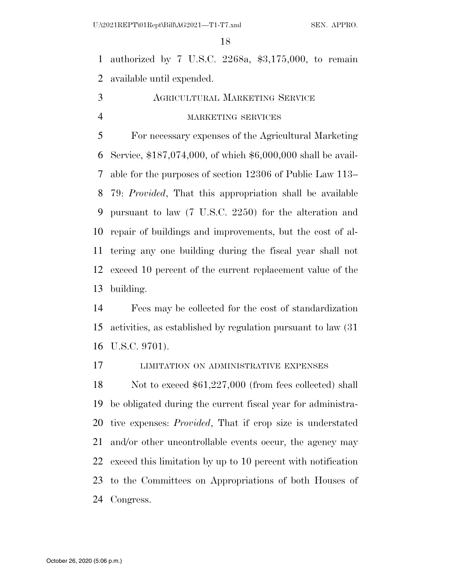authorized by 7 U.S.C. 2268a, \$3,175,000, to remain available until expended.

 AGRICULTURAL MARKETING SERVICE MARKETING SERVICES

 For necessary expenses of the Agricultural Marketing Service, \$187,074,000, of which \$6,000,000 shall be avail- able for the purposes of section 12306 of Public Law 113– 79: *Provided*, That this appropriation shall be available pursuant to law (7 U.S.C. 2250) for the alteration and repair of buildings and improvements, but the cost of al- tering any one building during the fiscal year shall not exceed 10 percent of the current replacement value of the building.

 Fees may be collected for the cost of standardization activities, as established by regulation pursuant to law (31 U.S.C. 9701).

LIMITATION ON ADMINISTRATIVE EXPENSES

18 Not to exceed \$61,227,000 (from fees collected) shall be obligated during the current fiscal year for administra- tive expenses: *Provided*, That if crop size is understated and/or other uncontrollable events occur, the agency may exceed this limitation by up to 10 percent with notification to the Committees on Appropriations of both Houses of Congress.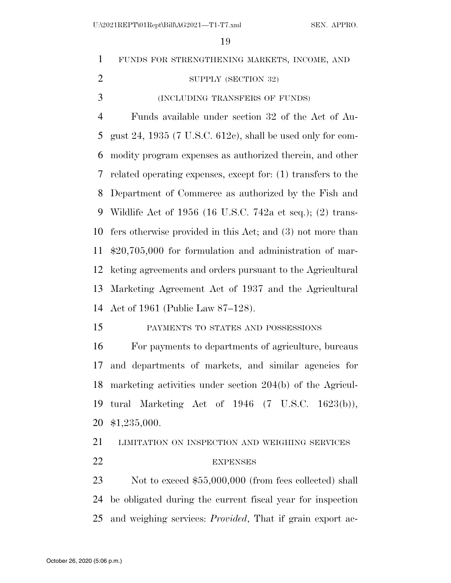FUNDS FOR STRENGTHENING MARKETS, INCOME, AND 2 SUPPLY (SECTION 32) (INCLUDING TRANSFERS OF FUNDS) Funds available under section 32 of the Act of Au- gust 24, 1935 (7 U.S.C. 612c), shall be used only for com- modity program expenses as authorized therein, and other related operating expenses, except for: (1) transfers to the Department of Commerce as authorized by the Fish and Wildlife Act of 1956 (16 U.S.C. 742a et seq.); (2) trans- fers otherwise provided in this Act; and (3) not more than \$20,705,000 for formulation and administration of mar- keting agreements and orders pursuant to the Agricultural Marketing Agreement Act of 1937 and the Agricultural Act of 1961 (Public Law 87–128). PAYMENTS TO STATES AND POSSESSIONS For payments to departments of agriculture, bureaus and departments of markets, and similar agencies for marketing activities under section 204(b) of the Agricul- tural Marketing Act of 1946 (7 U.S.C. 1623(b)), \$1,235,000. 21 LIMITATION ON INSPECTION AND WEIGHING SERVICES

#### EXPENSES

23 Not to exceed \$55,000,000 (from fees collected) shall be obligated during the current fiscal year for inspection and weighing services: *Provided*, That if grain export ac-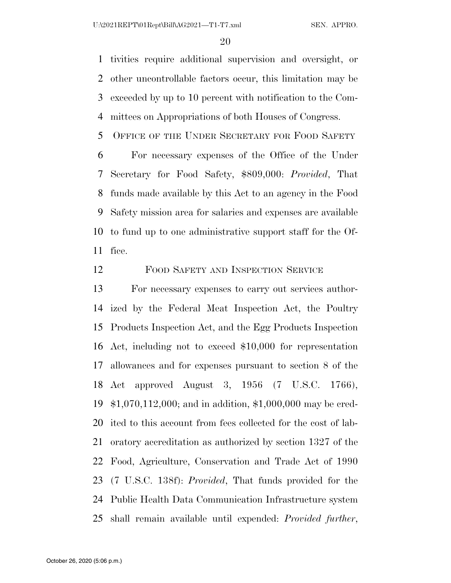tivities require additional supervision and oversight, or other uncontrollable factors occur, this limitation may be exceeded by up to 10 percent with notification to the Com-mittees on Appropriations of both Houses of Congress.

OFFICE OF THE UNDER SECRETARY FOR FOOD SAFETY

 For necessary expenses of the Office of the Under Secretary for Food Safety, \$809,000: *Provided*, That funds made available by this Act to an agency in the Food Safety mission area for salaries and expenses are available to fund up to one administrative support staff for the Of-fice.

FOOD SAFETY AND INSPECTION SERVICE

 For necessary expenses to carry out services author- ized by the Federal Meat Inspection Act, the Poultry Products Inspection Act, and the Egg Products Inspection Act, including not to exceed \$10,000 for representation allowances and for expenses pursuant to section 8 of the Act approved August 3, 1956 (7 U.S.C. 1766), \$1,070,112,000; and in addition, \$1,000,000 may be cred- ited to this account from fees collected for the cost of lab- oratory accreditation as authorized by section 1327 of the Food, Agriculture, Conservation and Trade Act of 1990 (7 U.S.C. 138f): *Provided*, That funds provided for the Public Health Data Communication Infrastructure system shall remain available until expended: *Provided further*,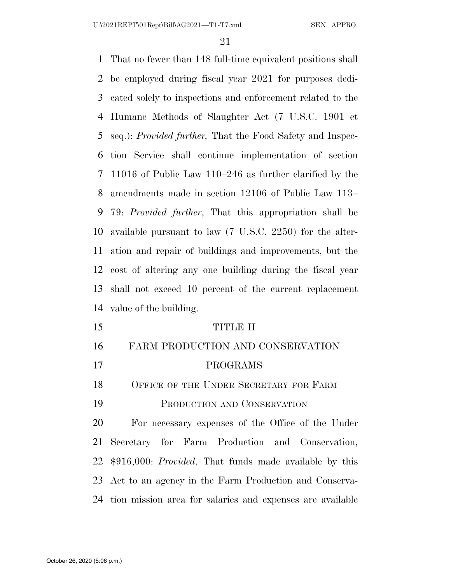That no fewer than 148 full-time equivalent positions shall be employed during fiscal year 2021 for purposes dedi- cated solely to inspections and enforcement related to the Humane Methods of Slaughter Act (7 U.S.C. 1901 et seq.): *Provided further,* That the Food Safety and Inspec- tion Service shall continue implementation of section 11016 of Public Law 110–246 as further clarified by the amendments made in section 12106 of Public Law 113– 79: *Provided further*, That this appropriation shall be available pursuant to law (7 U.S.C. 2250) for the alter- ation and repair of buildings and improvements, but the cost of altering any one building during the fiscal year shall not exceed 10 percent of the current replacement value of the building. TITLE II

 FARM PRODUCTION AND CONSERVATION PROGRAMS 18 OFFICE OF THE UNDER SECRETARY FOR FARM PRODUCTION AND CONSERVATION For necessary expenses of the Office of the Under

 Secretary for Farm Production and Conservation, \$916,000: *Provided*, That funds made available by this Act to an agency in the Farm Production and Conserva-tion mission area for salaries and expenses are available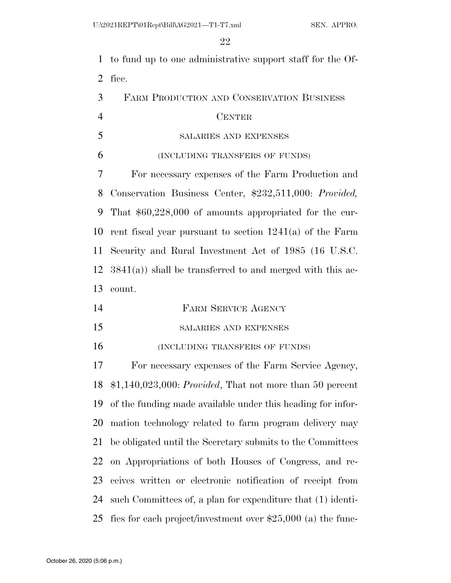to fund up to one administrative support staff for the Of-fice.

| FARM PRODUCTION AND CONSERVATION BUSINESS |
|-------------------------------------------|
| <b>CENTER</b>                             |

#### SALARIES AND EXPENSES

(INCLUDING TRANSFERS OF FUNDS)

 For necessary expenses of the Farm Production and Conservation Business Center, \$232,511,000: *Provided,*  That \$60,228,000 of amounts appropriated for the cur- rent fiscal year pursuant to section 1241(a) of the Farm Security and Rural Investment Act of 1985 (16 U.S.C. 3841(a)) shall be transferred to and merged with this ac-count.

- FARM SERVICE AGENCY
- SALARIES AND EXPENSES
- (INCLUDING TRANSFERS OF FUNDS)

 For necessary expenses of the Farm Service Agency, \$1,140,023,000: *Provided*, That not more than 50 percent of the funding made available under this heading for infor- mation technology related to farm program delivery may be obligated until the Secretary submits to the Committees on Appropriations of both Houses of Congress, and re- ceives written or electronic notification of receipt from such Committees of, a plan for expenditure that (1) identi-fies for each project/investment over \$25,000 (a) the func-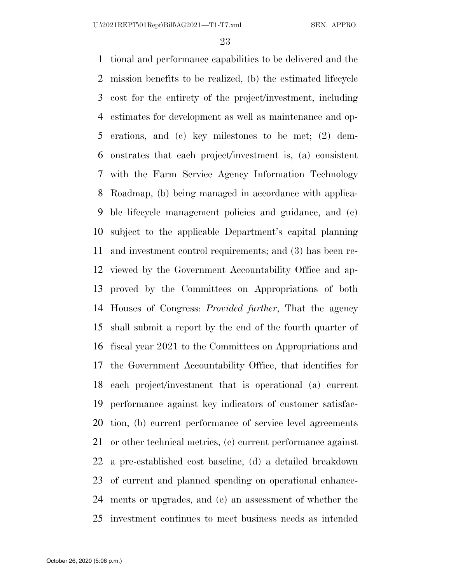tional and performance capabilities to be delivered and the mission benefits to be realized, (b) the estimated lifecycle cost for the entirety of the project/investment, including estimates for development as well as maintenance and op- erations, and (c) key milestones to be met; (2) dem- onstrates that each project/investment is, (a) consistent with the Farm Service Agency Information Technology Roadmap, (b) being managed in accordance with applica- ble lifecycle management policies and guidance, and (c) subject to the applicable Department's capital planning and investment control requirements; and (3) has been re- viewed by the Government Accountability Office and ap- proved by the Committees on Appropriations of both Houses of Congress: *Provided further*, That the agency shall submit a report by the end of the fourth quarter of fiscal year 2021 to the Committees on Appropriations and the Government Accountability Office, that identifies for each project/investment that is operational (a) current performance against key indicators of customer satisfac- tion, (b) current performance of service level agreements or other technical metrics, (c) current performance against a pre-established cost baseline, (d) a detailed breakdown of current and planned spending on operational enhance- ments or upgrades, and (e) an assessment of whether the investment continues to meet business needs as intended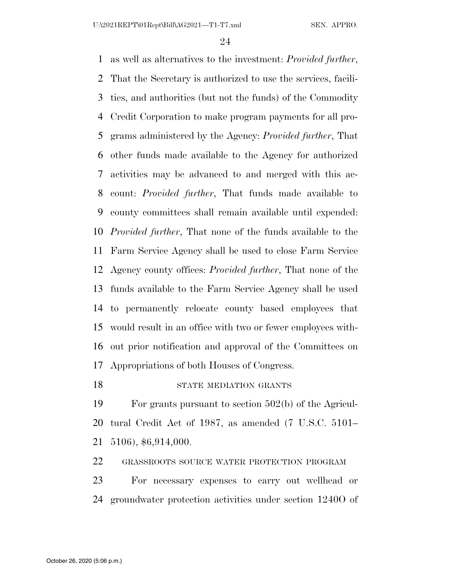as well as alternatives to the investment: *Provided further*, That the Secretary is authorized to use the services, facili- ties, and authorities (but not the funds) of the Commodity Credit Corporation to make program payments for all pro- grams administered by the Agency: *Provided further*, That other funds made available to the Agency for authorized activities may be advanced to and merged with this ac- count: *Provided further*, That funds made available to county committees shall remain available until expended: *Provided further*, That none of the funds available to the Farm Service Agency shall be used to close Farm Service Agency county offices: *Provided further*, That none of the funds available to the Farm Service Agency shall be used to permanently relocate county based employees that would result in an office with two or fewer employees with- out prior notification and approval of the Committees on Appropriations of both Houses of Congress.

#### 18 STATE MEDIATION GRANTS

 For grants pursuant to section 502(b) of the Agricul- tural Credit Act of 1987, as amended (7 U.S.C. 5101– 5106), \$6,914,000.

GRASSROOTS SOURCE WATER PROTECTION PROGRAM

 For necessary expenses to carry out wellhead or groundwater protection activities under section 1240O of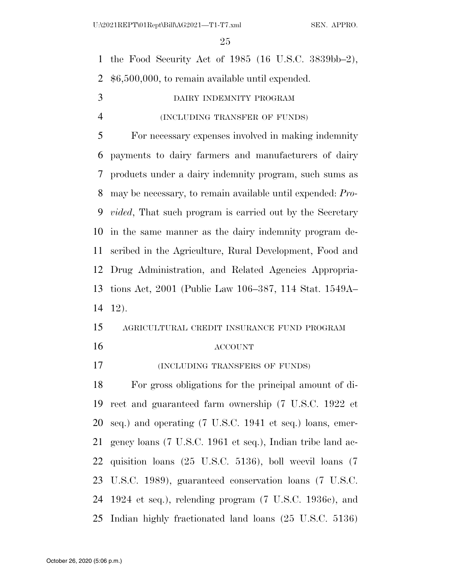the Food Security Act of 1985 (16 U.S.C. 3839bb–2), \$6,500,000, to remain available until expended. DAIRY INDEMNITY PROGRAM (INCLUDING TRANSFER OF FUNDS) For necessary expenses involved in making indemnity payments to dairy farmers and manufacturers of dairy products under a dairy indemnity program, such sums as may be necessary, to remain available until expended: *Pro- vided*, That such program is carried out by the Secretary in the same manner as the dairy indemnity program de- scribed in the Agriculture, Rural Development, Food and Drug Administration, and Related Agencies Appropria- tions Act, 2001 (Public Law 106–387, 114 Stat. 1549A– 12). AGRICULTURAL CREDIT INSURANCE FUND PROGRAM ACCOUNT (INCLUDING TRANSFERS OF FUNDS) For gross obligations for the principal amount of di- rect and guaranteed farm ownership (7 U.S.C. 1922 et seq.) and operating (7 U.S.C. 1941 et seq.) loans, emer- gency loans (7 U.S.C. 1961 et seq.), Indian tribe land ac- quisition loans (25 U.S.C. 5136), boll weevil loans (7 U.S.C. 1989), guaranteed conservation loans (7 U.S.C. 1924 et seq.), relending program (7 U.S.C. 1936c), and Indian highly fractionated land loans (25 U.S.C. 5136)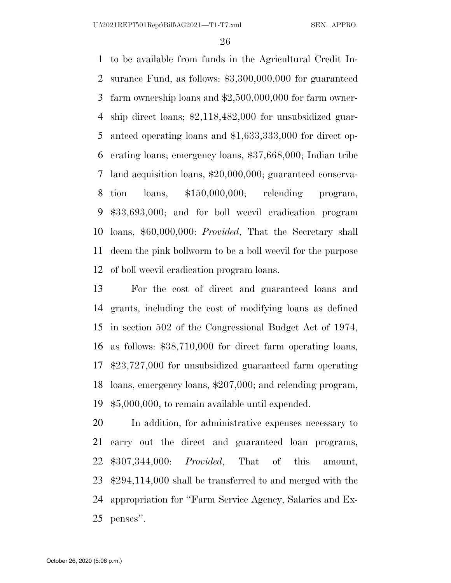to be available from funds in the Agricultural Credit In- surance Fund, as follows: \$3,300,000,000 for guaranteed farm ownership loans and \$2,500,000,000 for farm owner- ship direct loans; \$2,118,482,000 for unsubsidized guar- anteed operating loans and \$1,633,333,000 for direct op- erating loans; emergency loans, \$37,668,000; Indian tribe land acquisition loans, \$20,000,000; guaranteed conserva- tion loans, \$150,000,000; relending program, \$33,693,000; and for boll weevil eradication program loans, \$60,000,000: *Provided*, That the Secretary shall deem the pink bollworm to be a boll weevil for the purpose of boll weevil eradication program loans.

 For the cost of direct and guaranteed loans and grants, including the cost of modifying loans as defined in section 502 of the Congressional Budget Act of 1974, as follows: \$38,710,000 for direct farm operating loans, \$23,727,000 for unsubsidized guaranteed farm operating loans, emergency loans, \$207,000; and relending program, \$5,000,000, to remain available until expended.

 In addition, for administrative expenses necessary to carry out the direct and guaranteed loan programs, \$307,344,000: *Provided*, That of this amount, \$294,114,000 shall be transferred to and merged with the appropriation for ''Farm Service Agency, Salaries and Ex-penses''.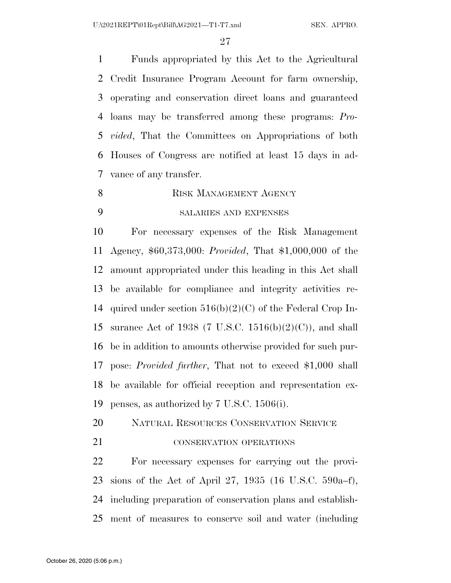U:\2021REPT\01Rept\Bill\AG2021—T1-T7.xml SEN. APPRO.

 Funds appropriated by this Act to the Agricultural Credit Insurance Program Account for farm ownership, operating and conservation direct loans and guaranteed loans may be transferred among these programs: *Pro- vided*, That the Committees on Appropriations of both Houses of Congress are notified at least 15 days in ad-vance of any transfer.

8 RISK MANAGEMENT AGENCY

#### SALARIES AND EXPENSES

 For necessary expenses of the Risk Management Agency, \$60,373,000: *Provided*, That \$1,000,000 of the amount appropriated under this heading in this Act shall be available for compliance and integrity activities re- quired under section 516(b)(2)(C) of the Federal Crop In- surance Act of 1938 (7 U.S.C. 1516(b)(2)(C)), and shall be in addition to amounts otherwise provided for such pur- pose: *Provided further*, That not to exceed \$1,000 shall be available for official reception and representation ex-penses, as authorized by 7 U.S.C. 1506(i).

- NATURAL RESOURCES CONSERVATION SERVICE
- **CONSERVATION OPERATIONS**

 For necessary expenses for carrying out the provi- sions of the Act of April 27, 1935 (16 U.S.C. 590a–f), including preparation of conservation plans and establish-ment of measures to conserve soil and water (including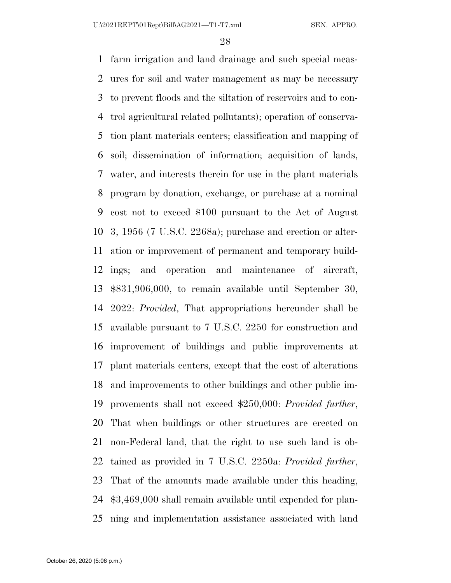farm irrigation and land drainage and such special meas- ures for soil and water management as may be necessary to prevent floods and the siltation of reservoirs and to con- trol agricultural related pollutants); operation of conserva- tion plant materials centers; classification and mapping of soil; dissemination of information; acquisition of lands, water, and interests therein for use in the plant materials program by donation, exchange, or purchase at a nominal cost not to exceed \$100 pursuant to the Act of August 3, 1956 (7 U.S.C. 2268a); purchase and erection or alter- ation or improvement of permanent and temporary build- ings; and operation and maintenance of aircraft, \$831,906,000, to remain available until September 30, 2022: *Provided*, That appropriations hereunder shall be available pursuant to 7 U.S.C. 2250 for construction and improvement of buildings and public improvements at plant materials centers, except that the cost of alterations and improvements to other buildings and other public im- provements shall not exceed \$250,000: *Provided further*, That when buildings or other structures are erected on non-Federal land, that the right to use such land is ob- tained as provided in 7 U.S.C. 2250a: *Provided further*, That of the amounts made available under this heading, \$3,469,000 shall remain available until expended for plan-ning and implementation assistance associated with land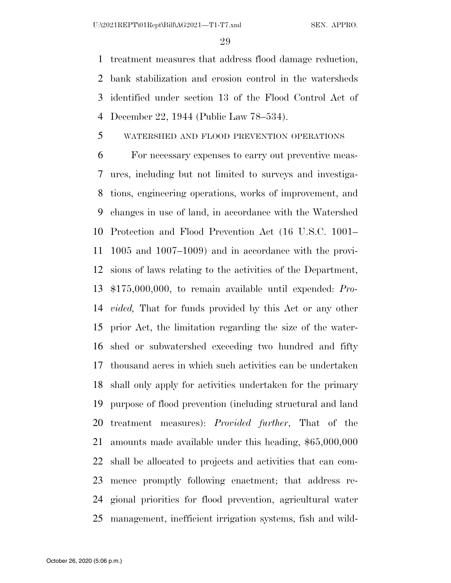treatment measures that address flood damage reduction, bank stabilization and erosion control in the watersheds identified under section 13 of the Flood Control Act of December 22, 1944 (Public Law 78–534).

#### WATERSHED AND FLOOD PREVENTION OPERATIONS

 For necessary expenses to carry out preventive meas- ures, including but not limited to surveys and investiga- tions, engineering operations, works of improvement, and changes in use of land, in accordance with the Watershed Protection and Flood Prevention Act (16 U.S.C. 1001– 1005 and 1007–1009) and in accordance with the provi- sions of laws relating to the activities of the Department, \$175,000,000, to remain available until expended: *Pro- vided,* That for funds provided by this Act or any other prior Act, the limitation regarding the size of the water- shed or subwatershed exceeding two hundred and fifty thousand acres in which such activities can be undertaken shall only apply for activities undertaken for the primary purpose of flood prevention (including structural and land treatment measures): *Provided further*, That of the amounts made available under this heading, \$65,000,000 shall be allocated to projects and activities that can com- mence promptly following enactment; that address re- gional priorities for flood prevention, agricultural water management, inefficient irrigation systems, fish and wild-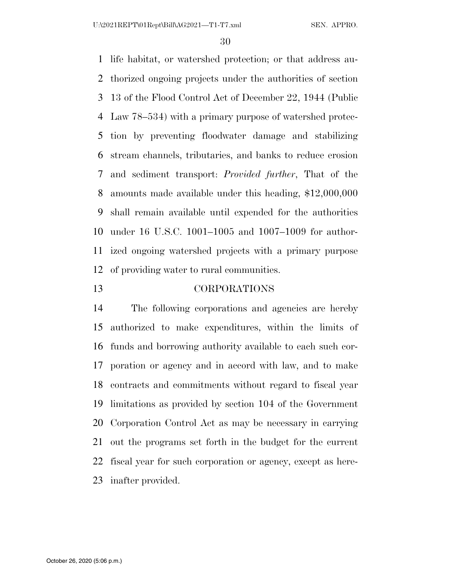life habitat, or watershed protection; or that address au- thorized ongoing projects under the authorities of section 13 of the Flood Control Act of December 22, 1944 (Public Law 78–534) with a primary purpose of watershed protec- tion by preventing floodwater damage and stabilizing stream channels, tributaries, and banks to reduce erosion and sediment transport: *Provided further*, That of the amounts made available under this heading, \$12,000,000 shall remain available until expended for the authorities under 16 U.S.C. 1001–1005 and 1007–1009 for author- ized ongoing watershed projects with a primary purpose of providing water to rural communities.

#### CORPORATIONS

 The following corporations and agencies are hereby authorized to make expenditures, within the limits of funds and borrowing authority available to each such cor- poration or agency and in accord with law, and to make contracts and commitments without regard to fiscal year limitations as provided by section 104 of the Government Corporation Control Act as may be necessary in carrying out the programs set forth in the budget for the current fiscal year for such corporation or agency, except as here-inafter provided.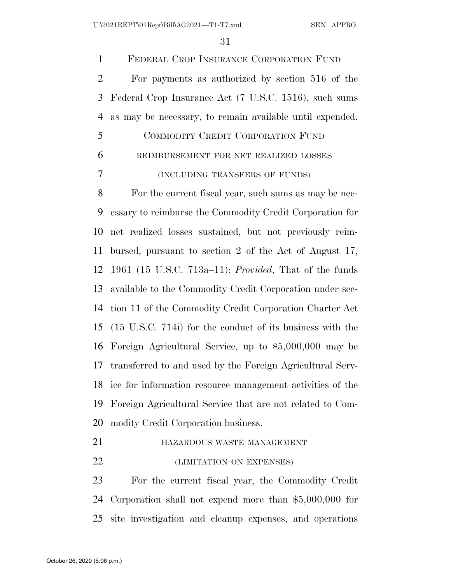FEDERAL CROP INSURANCE CORPORATION FUND For payments as authorized by section 516 of the Federal Crop Insurance Act (7 U.S.C. 1516), such sums as may be necessary, to remain available until expended. COMMODITY CREDIT CORPORATION FUND

| -6 | REIMBURSEMENT FOR NET REALIZED LOSSES |
|----|---------------------------------------|
| -7 | (INCLUDING TRANSFERS OF FUNDS)        |

 For the current fiscal year, such sums as may be nec- essary to reimburse the Commodity Credit Corporation for net realized losses sustained, but not previously reim- bursed, pursuant to section 2 of the Act of August 17, 1961 (15 U.S.C. 713a–11): *Provided*, That of the funds available to the Commodity Credit Corporation under sec- tion 11 of the Commodity Credit Corporation Charter Act (15 U.S.C. 714i) for the conduct of its business with the Foreign Agricultural Service, up to \$5,000,000 may be transferred to and used by the Foreign Agricultural Serv- ice for information resource management activities of the Foreign Agricultural Service that are not related to Com-modity Credit Corporation business.

- **HAZARDOUS WASTE MANAGEMENT**
- (LIMITATION ON EXPENSES)

 For the current fiscal year, the Commodity Credit Corporation shall not expend more than \$5,000,000 for site investigation and cleanup expenses, and operations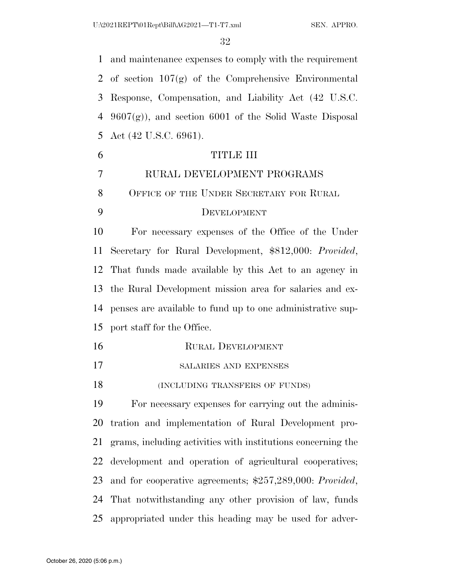and maintenance expenses to comply with the requirement 2 of section  $107(g)$  of the Comprehensive Environmental Response, Compensation, and Liability Act (42 U.S.C.  $9607(g)$ , and section 6001 of the Solid Waste Disposal Act (42 U.S.C. 6961). TITLE III RURAL DEVELOPMENT PROGRAMS 8 OFFICE OF THE UNDER SECRETARY FOR RURAL DEVELOPMENT For necessary expenses of the Office of the Under Secretary for Rural Development, \$812,000: *Provided*, That funds made available by this Act to an agency in the Rural Development mission area for salaries and ex- penses are available to fund up to one administrative sup- port staff for the Office. RURAL DEVELOPMENT SALARIES AND EXPENSES 18 (INCLUDING TRANSFERS OF FUNDS) For necessary expenses for carrying out the adminis- tration and implementation of Rural Development pro- grams, including activities with institutions concerning the development and operation of agricultural cooperatives;

and for cooperative agreements; \$257,289,000: *Provided*,

 That notwithstanding any other provision of law, funds appropriated under this heading may be used for adver-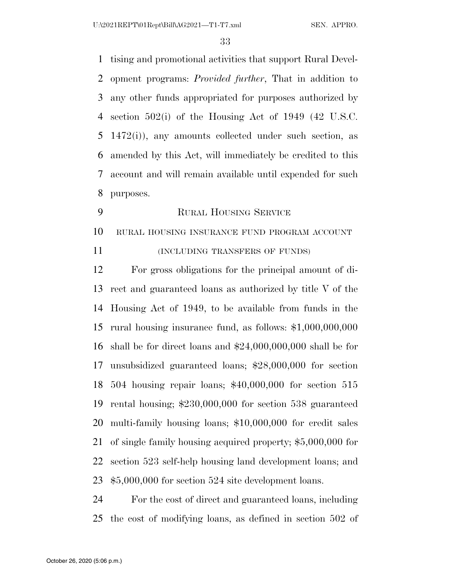tising and promotional activities that support Rural Devel- opment programs: *Provided further*, That in addition to any other funds appropriated for purposes authorized by section 502(i) of the Housing Act of 1949 (42 U.S.C. 1472(i)), any amounts collected under such section, as amended by this Act, will immediately be credited to this account and will remain available until expended for such purposes.

RURAL HOUSING SERVICE

RURAL HOUSING INSURANCE FUND PROGRAM ACCOUNT

11 (INCLUDING TRANSFERS OF FUNDS)

 For gross obligations for the principal amount of di- rect and guaranteed loans as authorized by title V of the Housing Act of 1949, to be available from funds in the rural housing insurance fund, as follows: \$1,000,000,000 shall be for direct loans and \$24,000,000,000 shall be for unsubsidized guaranteed loans; \$28,000,000 for section 504 housing repair loans; \$40,000,000 for section 515 rental housing; \$230,000,000 for section 538 guaranteed multi-family housing loans; \$10,000,000 for credit sales of single family housing acquired property; \$5,000,000 for section 523 self-help housing land development loans; and \$5,000,000 for section 524 site development loans.

 For the cost of direct and guaranteed loans, including the cost of modifying loans, as defined in section 502 of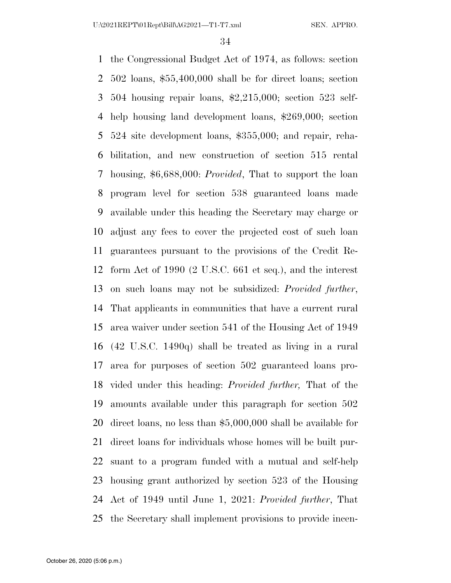U:\2021REPT\01Rept\Bill\AG2021—T1-T7.xml SEN. APPRO.

 the Congressional Budget Act of 1974, as follows: section 502 loans, \$55,400,000 shall be for direct loans; section 504 housing repair loans, \$2,215,000; section 523 self- help housing land development loans, \$269,000; section 524 site development loans, \$355,000; and repair, reha- bilitation, and new construction of section 515 rental housing, \$6,688,000: *Provided*, That to support the loan program level for section 538 guaranteed loans made available under this heading the Secretary may charge or adjust any fees to cover the projected cost of such loan guarantees pursuant to the provisions of the Credit Re- form Act of 1990 (2 U.S.C. 661 et seq.), and the interest on such loans may not be subsidized: *Provided further*, That applicants in communities that have a current rural area waiver under section 541 of the Housing Act of 1949 (42 U.S.C. 1490q) shall be treated as living in a rural area for purposes of section 502 guaranteed loans pro- vided under this heading: *Provided further,* That of the amounts available under this paragraph for section 502 direct loans, no less than \$5,000,000 shall be available for direct loans for individuals whose homes will be built pur- suant to a program funded with a mutual and self-help housing grant authorized by section 523 of the Housing Act of 1949 until June 1, 2021: *Provided further*, That the Secretary shall implement provisions to provide incen-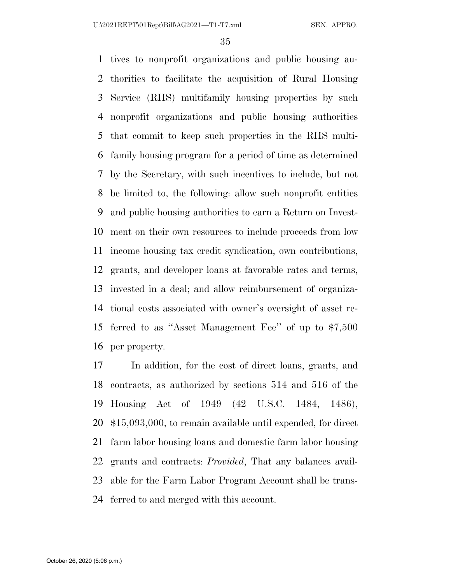tives to nonprofit organizations and public housing au- thorities to facilitate the acquisition of Rural Housing Service (RHS) multifamily housing properties by such nonprofit organizations and public housing authorities that commit to keep such properties in the RHS multi- family housing program for a period of time as determined by the Secretary, with such incentives to include, but not be limited to, the following: allow such nonprofit entities and public housing authorities to earn a Return on Invest- ment on their own resources to include proceeds from low income housing tax credit syndication, own contributions, grants, and developer loans at favorable rates and terms, invested in a deal; and allow reimbursement of organiza- tional costs associated with owner's oversight of asset re- ferred to as ''Asset Management Fee'' of up to \$7,500 per property.

 In addition, for the cost of direct loans, grants, and contracts, as authorized by sections 514 and 516 of the Housing Act of 1949 (42 U.S.C. 1484, 1486), \$15,093,000, to remain available until expended, for direct farm labor housing loans and domestic farm labor housing grants and contracts: *Provided*, That any balances avail- able for the Farm Labor Program Account shall be trans-ferred to and merged with this account.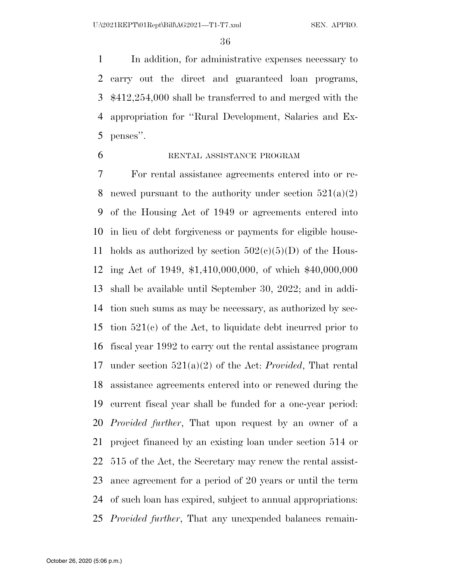In addition, for administrative expenses necessary to carry out the direct and guaranteed loan programs, \$412,254,000 shall be transferred to and merged with the appropriation for ''Rural Development, Salaries and Ex-penses''.

#### RENTAL ASSISTANCE PROGRAM

 For rental assistance agreements entered into or re-8 newed pursuant to the authority under section  $521(a)(2)$  of the Housing Act of 1949 or agreements entered into in lieu of debt forgiveness or payments for eligible house-11 holds as authorized by section  $502(c)(5)(D)$  of the Hous- ing Act of 1949, \$1,410,000,000, of which \$40,000,000 shall be available until September 30, 2022; and in addi- tion such sums as may be necessary, as authorized by sec- tion 521(c) of the Act, to liquidate debt incurred prior to fiscal year 1992 to carry out the rental assistance program under section 521(a)(2) of the Act: *Provided*, That rental assistance agreements entered into or renewed during the current fiscal year shall be funded for a one-year period: *Provided further*, That upon request by an owner of a project financed by an existing loan under section 514 or 515 of the Act, the Secretary may renew the rental assist- ance agreement for a period of 20 years or until the term of such loan has expired, subject to annual appropriations: *Provided further*, That any unexpended balances remain-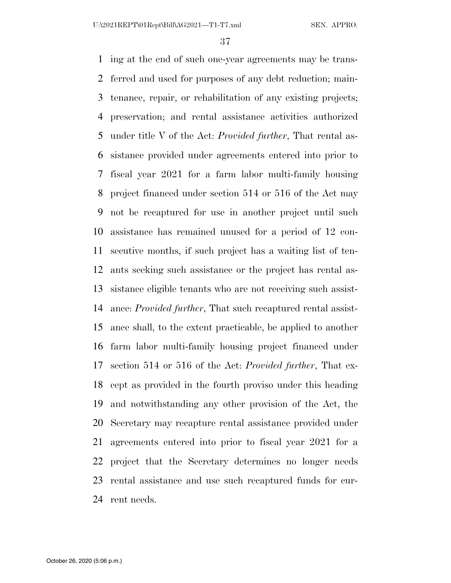ing at the end of such one-year agreements may be trans- ferred and used for purposes of any debt reduction; main- tenance, repair, or rehabilitation of any existing projects; preservation; and rental assistance activities authorized under title V of the Act: *Provided further*, That rental as- sistance provided under agreements entered into prior to fiscal year 2021 for a farm labor multi-family housing project financed under section 514 or 516 of the Act may not be recaptured for use in another project until such assistance has remained unused for a period of 12 con- secutive months, if such project has a waiting list of ten- ants seeking such assistance or the project has rental as- sistance eligible tenants who are not receiving such assist- ance: *Provided further*, That such recaptured rental assist- ance shall, to the extent practicable, be applied to another farm labor multi-family housing project financed under section 514 or 516 of the Act: *Provided further*, That ex- cept as provided in the fourth proviso under this heading and notwithstanding any other provision of the Act, the Secretary may recapture rental assistance provided under agreements entered into prior to fiscal year 2021 for a project that the Secretary determines no longer needs rental assistance and use such recaptured funds for cur-rent needs.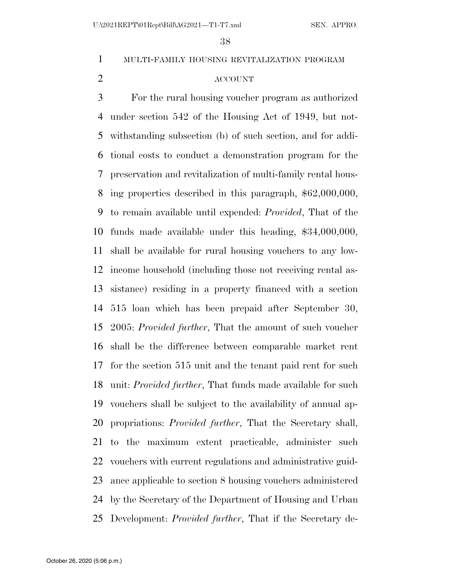MULTI-FAMILY HOUSING REVITALIZATION PROGRAM

### ACCOUNT

 For the rural housing voucher program as authorized under section 542 of the Housing Act of 1949, but not- withstanding subsection (b) of such section, and for addi- tional costs to conduct a demonstration program for the preservation and revitalization of multi-family rental hous- ing properties described in this paragraph, \$62,000,000, to remain available until expended: *Provided*, That of the funds made available under this heading, \$34,000,000, shall be available for rural housing vouchers to any low- income household (including those not receiving rental as- sistance) residing in a property financed with a section 515 loan which has been prepaid after September 30, 2005: *Provided further*, That the amount of such voucher shall be the difference between comparable market rent for the section 515 unit and the tenant paid rent for such unit: *Provided further*, That funds made available for such vouchers shall be subject to the availability of annual ap- propriations: *Provided further*, That the Secretary shall, to the maximum extent practicable, administer such vouchers with current regulations and administrative guid- ance applicable to section 8 housing vouchers administered by the Secretary of the Department of Housing and Urban Development: *Provided further*, That if the Secretary de-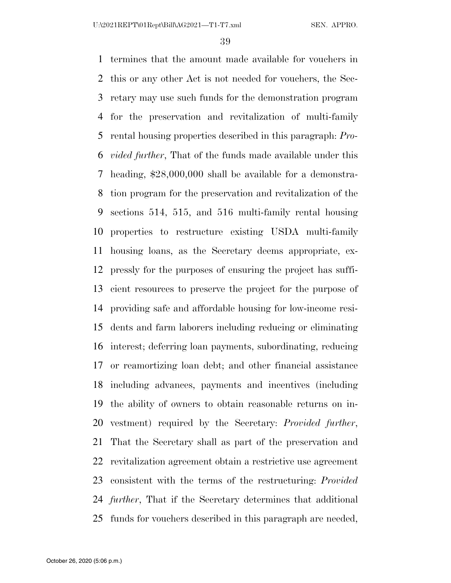termines that the amount made available for vouchers in this or any other Act is not needed for vouchers, the Sec- retary may use such funds for the demonstration program for the preservation and revitalization of multi-family rental housing properties described in this paragraph: *Pro- vided further*, That of the funds made available under this heading, \$28,000,000 shall be available for a demonstra- tion program for the preservation and revitalization of the sections 514, 515, and 516 multi-family rental housing properties to restructure existing USDA multi-family housing loans, as the Secretary deems appropriate, ex- pressly for the purposes of ensuring the project has suffi- cient resources to preserve the project for the purpose of providing safe and affordable housing for low-income resi- dents and farm laborers including reducing or eliminating interest; deferring loan payments, subordinating, reducing or reamortizing loan debt; and other financial assistance including advances, payments and incentives (including the ability of owners to obtain reasonable returns on in- vestment) required by the Secretary: *Provided further*, That the Secretary shall as part of the preservation and revitalization agreement obtain a restrictive use agreement consistent with the terms of the restructuring: *Provided further*, That if the Secretary determines that additional funds for vouchers described in this paragraph are needed,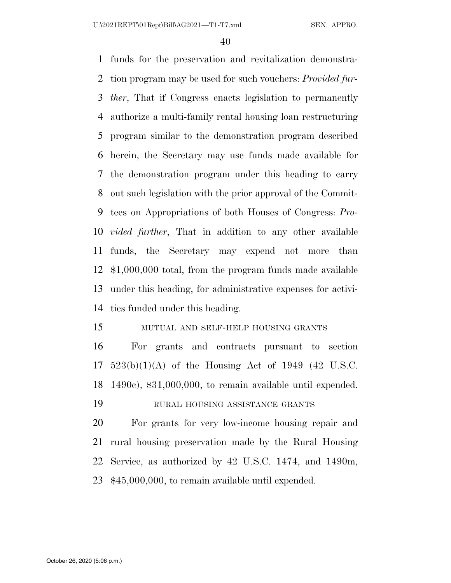funds for the preservation and revitalization demonstra- tion program may be used for such vouchers: *Provided fur- ther*, That if Congress enacts legislation to permanently authorize a multi-family rental housing loan restructuring program similar to the demonstration program described herein, the Secretary may use funds made available for the demonstration program under this heading to carry out such legislation with the prior approval of the Commit- tees on Appropriations of both Houses of Congress: *Pro- vided further*, That in addition to any other available funds, the Secretary may expend not more than \$1,000,000 total, from the program funds made available under this heading, for administrative expenses for activi-ties funded under this heading.

### MUTUAL AND SELF-HELP HOUSING GRANTS

 For grants and contracts pursuant to section 523(b)(1)(A) of the Housing Act of 1949 (42 U.S.C. 1490c), \$31,000,000, to remain available until expended.

RURAL HOUSING ASSISTANCE GRANTS

 For grants for very low-income housing repair and rural housing preservation made by the Rural Housing Service, as authorized by 42 U.S.C. 1474, and 1490m, \$45,000,000, to remain available until expended.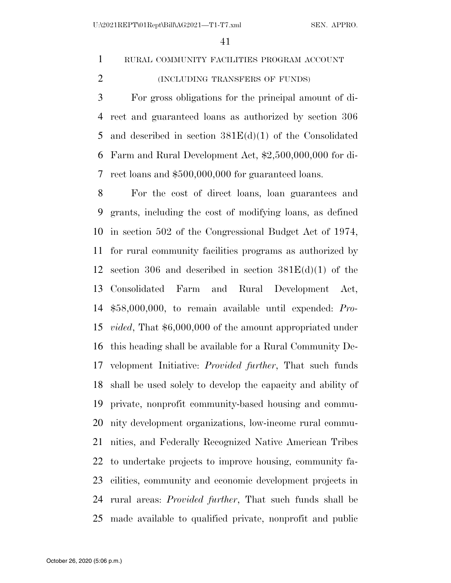## RURAL COMMUNITY FACILITIES PROGRAM ACCOUNT

(INCLUDING TRANSFERS OF FUNDS)

 For gross obligations for the principal amount of di- rect and guaranteed loans as authorized by section 306 5 and described in section  $381E(d)(1)$  of the Consolidated Farm and Rural Development Act, \$2,500,000,000 for di-rect loans and \$500,000,000 for guaranteed loans.

 For the cost of direct loans, loan guarantees and grants, including the cost of modifying loans, as defined in section 502 of the Congressional Budget Act of 1974, for rural community facilities programs as authorized by 12 section 306 and described in section  $381E(d)(1)$  of the Consolidated Farm and Rural Development Act, \$58,000,000, to remain available until expended: *Pro- vided*, That \$6,000,000 of the amount appropriated under this heading shall be available for a Rural Community De- velopment Initiative: *Provided further*, That such funds shall be used solely to develop the capacity and ability of private, nonprofit community-based housing and commu- nity development organizations, low-income rural commu- nities, and Federally Recognized Native American Tribes to undertake projects to improve housing, community fa- cilities, community and economic development projects in rural areas: *Provided further*, That such funds shall be made available to qualified private, nonprofit and public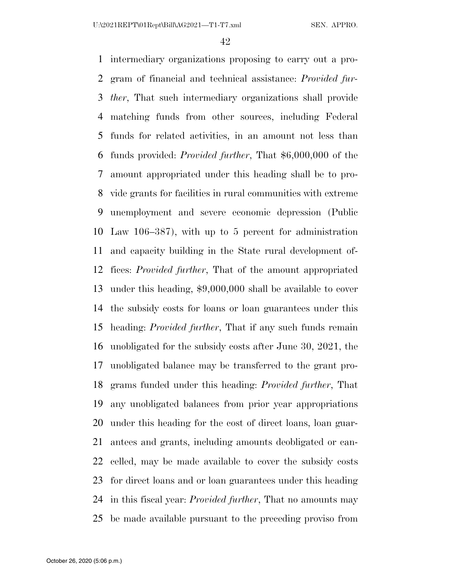intermediary organizations proposing to carry out a pro- gram of financial and technical assistance: *Provided fur- ther*, That such intermediary organizations shall provide matching funds from other sources, including Federal funds for related activities, in an amount not less than funds provided: *Provided further*, That \$6,000,000 of the amount appropriated under this heading shall be to pro- vide grants for facilities in rural communities with extreme unemployment and severe economic depression (Public Law 106–387), with up to 5 percent for administration and capacity building in the State rural development of- fices: *Provided further*, That of the amount appropriated under this heading, \$9,000,000 shall be available to cover the subsidy costs for loans or loan guarantees under this heading: *Provided further*, That if any such funds remain unobligated for the subsidy costs after June 30, 2021, the unobligated balance may be transferred to the grant pro- grams funded under this heading: *Provided further*, That any unobligated balances from prior year appropriations under this heading for the cost of direct loans, loan guar- antees and grants, including amounts deobligated or can- celled, may be made available to cover the subsidy costs for direct loans and or loan guarantees under this heading in this fiscal year: *Provided further*, That no amounts may be made available pursuant to the preceding proviso from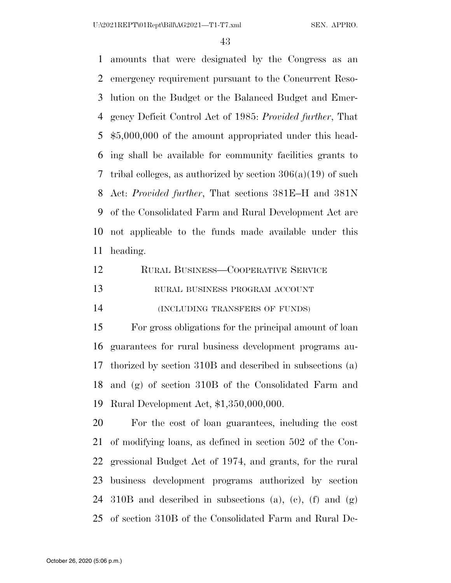amounts that were designated by the Congress as an emergency requirement pursuant to the Concurrent Reso- lution on the Budget or the Balanced Budget and Emer- gency Deficit Control Act of 1985: *Provided further*, That \$5,000,000 of the amount appropriated under this head- ing shall be available for community facilities grants to tribal colleges, as authorized by section 306(a)(19) of such Act: *Provided further*, That sections 381E–H and 381N of the Consolidated Farm and Rural Development Act are not applicable to the funds made available under this heading.

| 12 | RURAL BUSINESS-COOPERATIVE SERVICE |
|----|------------------------------------|
| 13 | RURAL BUSINESS PROGRAM ACCOUNT     |
| 14 | (INCLUDING TRANSFERS OF FUNDS)     |

 For gross obligations for the principal amount of loan guarantees for rural business development programs au- thorized by section 310B and described in subsections (a) and (g) of section 310B of the Consolidated Farm and Rural Development Act, \$1,350,000,000.

 For the cost of loan guarantees, including the cost of modifying loans, as defined in section 502 of the Con- gressional Budget Act of 1974, and grants, for the rural business development programs authorized by section 310B and described in subsections (a), (c), (f) and (g) of section 310B of the Consolidated Farm and Rural De-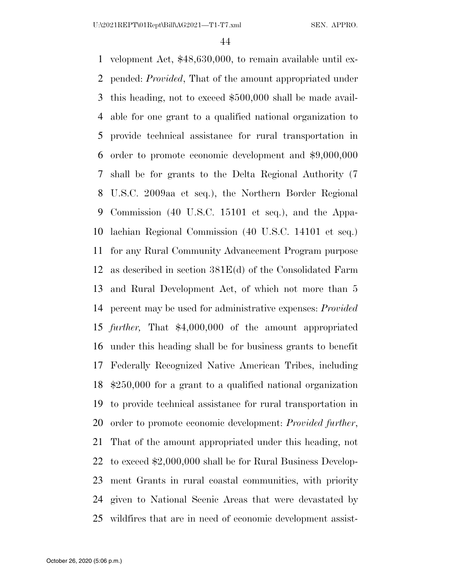velopment Act, \$48,630,000, to remain available until ex- pended: *Provided*, That of the amount appropriated under this heading, not to exceed \$500,000 shall be made avail- able for one grant to a qualified national organization to provide technical assistance for rural transportation in order to promote economic development and \$9,000,000 shall be for grants to the Delta Regional Authority (7 U.S.C. 2009aa et seq.), the Northern Border Regional Commission (40 U.S.C. 15101 et seq.), and the Appa- lachian Regional Commission (40 U.S.C. 14101 et seq.) for any Rural Community Advancement Program purpose as described in section 381E(d) of the Consolidated Farm and Rural Development Act, of which not more than 5 percent may be used for administrative expenses: *Provided further,* That \$4,000,000 of the amount appropriated under this heading shall be for business grants to benefit Federally Recognized Native American Tribes, including \$250,000 for a grant to a qualified national organization to provide technical assistance for rural transportation in order to promote economic development: *Provided further*, That of the amount appropriated under this heading, not to exceed \$2,000,000 shall be for Rural Business Develop- ment Grants in rural coastal communities, with priority given to National Scenic Areas that were devastated by wildfires that are in need of economic development assist-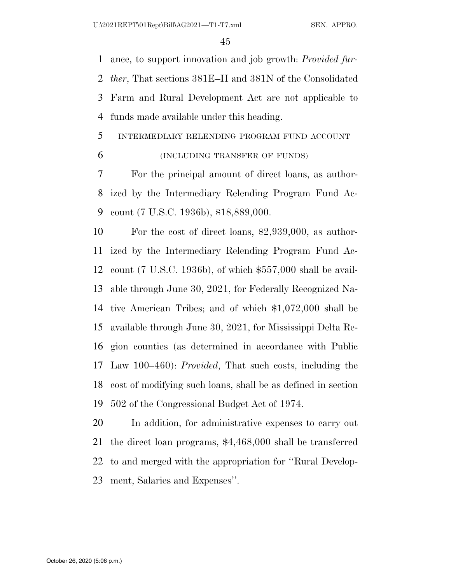ance, to support innovation and job growth: *Provided fur- ther*, That sections 381E–H and 381N of the Consolidated Farm and Rural Development Act are not applicable to funds made available under this heading.

## INTERMEDIARY RELENDING PROGRAM FUND ACCOUNT

### (INCLUDING TRANSFER OF FUNDS)

 For the principal amount of direct loans, as author- ized by the Intermediary Relending Program Fund Ac-count (7 U.S.C. 1936b), \$18,889,000.

 For the cost of direct loans, \$2,939,000, as author- ized by the Intermediary Relending Program Fund Ac- count (7 U.S.C. 1936b), of which \$557,000 shall be avail- able through June 30, 2021, for Federally Recognized Na- tive American Tribes; and of which \$1,072,000 shall be available through June 30, 2021, for Mississippi Delta Re- gion counties (as determined in accordance with Public Law 100–460): *Provided*, That such costs, including the cost of modifying such loans, shall be as defined in section 502 of the Congressional Budget Act of 1974.

 In addition, for administrative expenses to carry out the direct loan programs, \$4,468,000 shall be transferred to and merged with the appropriation for ''Rural Develop-ment, Salaries and Expenses''.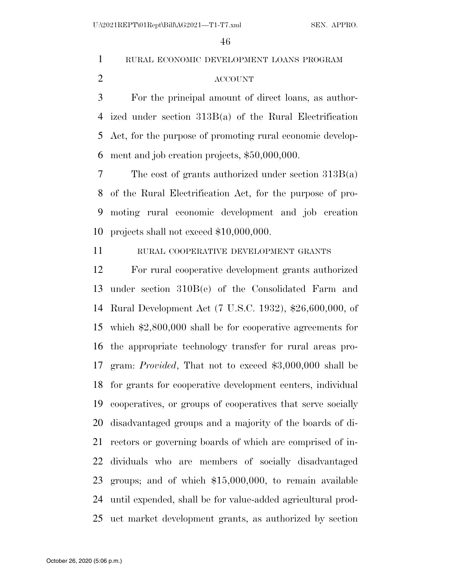RURAL ECONOMIC DEVELOPMENT LOANS PROGRAM

### ACCOUNT

 For the principal amount of direct loans, as author- ized under section 313B(a) of the Rural Electrification Act, for the purpose of promoting rural economic develop-ment and job creation projects, \$50,000,000.

 The cost of grants authorized under section 313B(a) of the Rural Electrification Act, for the purpose of pro- moting rural economic development and job creation projects shall not exceed \$10,000,000.

RURAL COOPERATIVE DEVELOPMENT GRANTS

 For rural cooperative development grants authorized under section 310B(e) of the Consolidated Farm and Rural Development Act (7 U.S.C. 1932), \$26,600,000, of which \$2,800,000 shall be for cooperative agreements for the appropriate technology transfer for rural areas pro- gram: *Provided*, That not to exceed \$3,000,000 shall be for grants for cooperative development centers, individual cooperatives, or groups of cooperatives that serve socially disadvantaged groups and a majority of the boards of di- rectors or governing boards of which are comprised of in- dividuals who are members of socially disadvantaged groups; and of which \$15,000,000, to remain available until expended, shall be for value-added agricultural prod-uct market development grants, as authorized by section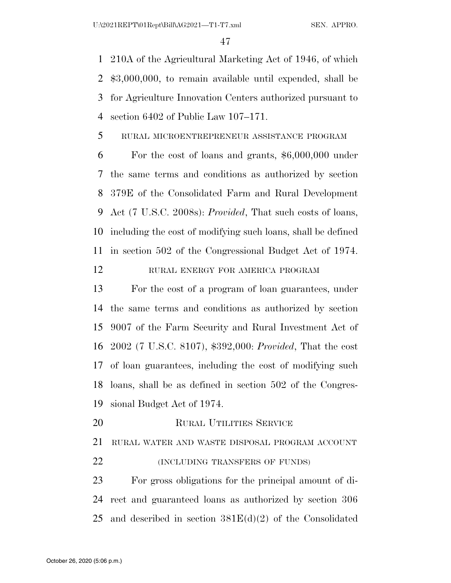210A of the Agricultural Marketing Act of 1946, of which \$3,000,000, to remain available until expended, shall be for Agriculture Innovation Centers authorized pursuant to section 6402 of Public Law 107–171.

RURAL MICROENTREPRENEUR ASSISTANCE PROGRAM

 For the cost of loans and grants, \$6,000,000 under the same terms and conditions as authorized by section 379E of the Consolidated Farm and Rural Development Act (7 U.S.C. 2008s): *Provided*, That such costs of loans, including the cost of modifying such loans, shall be defined in section 502 of the Congressional Budget Act of 1974.

RURAL ENERGY FOR AMERICA PROGRAM

 For the cost of a program of loan guarantees, under the same terms and conditions as authorized by section 9007 of the Farm Security and Rural Investment Act of 2002 (7 U.S.C. 8107), \$392,000: *Provided*, That the cost of loan guarantees, including the cost of modifying such loans, shall be as defined in section 502 of the Congres-sional Budget Act of 1974.

RURAL UTILITIES SERVICE

 RURAL WATER AND WASTE DISPOSAL PROGRAM ACCOUNT **(INCLUDING TRANSFERS OF FUNDS)** 

 For gross obligations for the principal amount of di- rect and guaranteed loans as authorized by section 306 25 and described in section  $381E(d)(2)$  of the Consolidated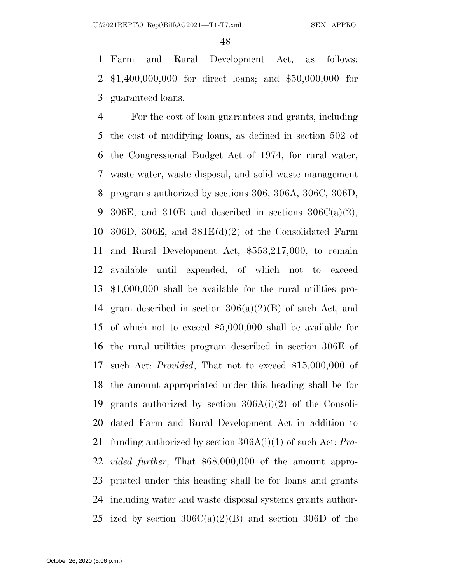Farm and Rural Development Act, as follows: \$1,400,000,000 for direct loans; and \$50,000,000 for guaranteed loans.

 For the cost of loan guarantees and grants, including the cost of modifying loans, as defined in section 502 of the Congressional Budget Act of 1974, for rural water, waste water, waste disposal, and solid waste management programs authorized by sections 306, 306A, 306C, 306D, 9 306E, and 310B and described in sections  $306C(a)(2)$ , 10 306D, 306E, and  $381E(d)(2)$  of the Consolidated Farm and Rural Development Act, \$553,217,000, to remain available until expended, of which not to exceed \$1,000,000 shall be available for the rural utilities pro-14 gram described in section  $306(a)(2)(B)$  of such Act, and of which not to exceed \$5,000,000 shall be available for the rural utilities program described in section 306E of such Act: *Provided*, That not to exceed \$15,000,000 of the amount appropriated under this heading shall be for grants authorized by section 306A(i)(2) of the Consoli- dated Farm and Rural Development Act in addition to funding authorized by section 306A(i)(1) of such Act: *Pro- vided further*, That \$68,000,000 of the amount appro- priated under this heading shall be for loans and grants including water and waste disposal systems grants author-25 ized by section  $306C(a)(2)(B)$  and section 306D of the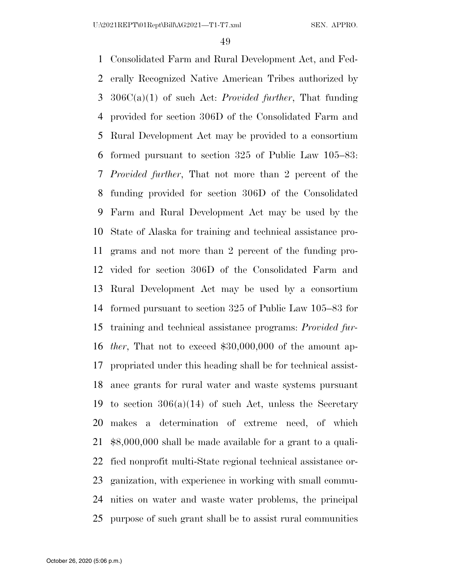Consolidated Farm and Rural Development Act, and Fed- erally Recognized Native American Tribes authorized by 306C(a)(1) of such Act: *Provided further*, That funding provided for section 306D of the Consolidated Farm and Rural Development Act may be provided to a consortium formed pursuant to section 325 of Public Law 105–83: *Provided further*, That not more than 2 percent of the funding provided for section 306D of the Consolidated Farm and Rural Development Act may be used by the State of Alaska for training and technical assistance pro- grams and not more than 2 percent of the funding pro- vided for section 306D of the Consolidated Farm and Rural Development Act may be used by a consortium formed pursuant to section 325 of Public Law 105–83 for training and technical assistance programs: *Provided fur- ther*, That not to exceed \$30,000,000 of the amount ap- propriated under this heading shall be for technical assist- ance grants for rural water and waste systems pursuant 19 to section  $306(a)(14)$  of such Act, unless the Secretary makes a determination of extreme need, of which \$8,000,000 shall be made available for a grant to a quali- fied nonprofit multi-State regional technical assistance or- ganization, with experience in working with small commu- nities on water and waste water problems, the principal purpose of such grant shall be to assist rural communities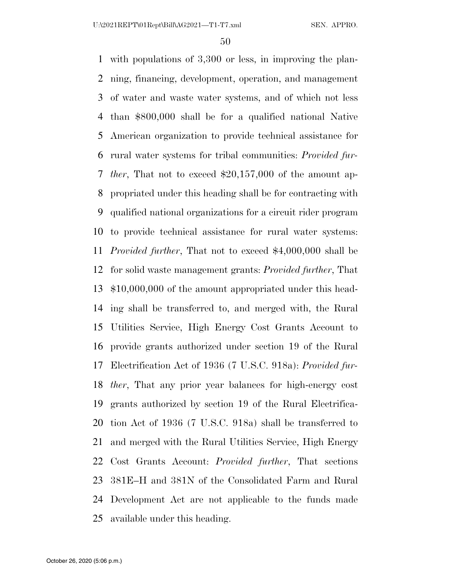with populations of 3,300 or less, in improving the plan- ning, financing, development, operation, and management of water and waste water systems, and of which not less than \$800,000 shall be for a qualified national Native American organization to provide technical assistance for rural water systems for tribal communities: *Provided fur- ther*, That not to exceed \$20,157,000 of the amount ap- propriated under this heading shall be for contracting with qualified national organizations for a circuit rider program to provide technical assistance for rural water systems: *Provided further*, That not to exceed \$4,000,000 shall be for solid waste management grants: *Provided further*, That \$10,000,000 of the amount appropriated under this head- ing shall be transferred to, and merged with, the Rural Utilities Service, High Energy Cost Grants Account to provide grants authorized under section 19 of the Rural Electrification Act of 1936 (7 U.S.C. 918a): *Provided fur- ther*, That any prior year balances for high-energy cost grants authorized by section 19 of the Rural Electrifica- tion Act of 1936 (7 U.S.C. 918a) shall be transferred to and merged with the Rural Utilities Service, High Energy Cost Grants Account: *Provided further*, That sections 381E–H and 381N of the Consolidated Farm and Rural Development Act are not applicable to the funds made available under this heading.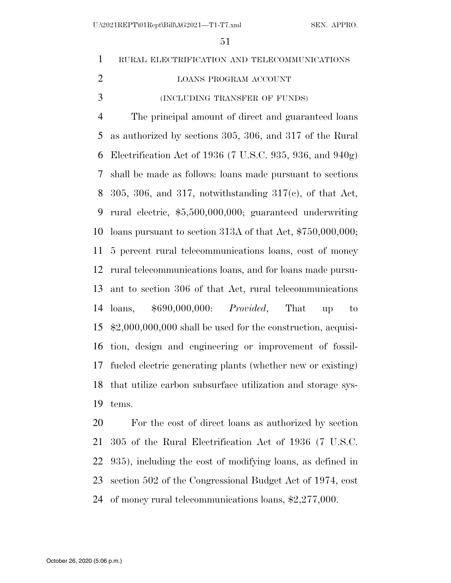RURAL ELECTRIFICATION AND TELECOMMUNICATIONS LOANS PROGRAM ACCOUNT (INCLUDING TRANSFER OF FUNDS) The principal amount of direct and guaranteed loans as authorized by sections 305, 306, and 317 of the Rural Electrification Act of 1936 (7 U.S.C. 935, 936, and 940g) shall be made as follows: loans made pursuant to sections 8 305, 306, and 317, notwithstanding  $317(e)$ , of that Act, rural electric, \$5,500,000,000; guaranteed underwriting loans pursuant to section 313A of that Act, \$750,000,000; 5 percent rural telecommunications loans, cost of money rural telecommunications loans, and for loans made pursu- ant to section 306 of that Act, rural telecommunications loans, \$690,000,000: *Provided*, That up to \$2,000,000,000 shall be used for the construction, acquisi- tion, design and engineering or improvement of fossil- fueled electric generating plants (whether new or existing) that utilize carbon subsurface utilization and storage sys- tems. For the cost of direct loans as authorized by section

 305 of the Rural Electrification Act of 1936 (7 U.S.C. 935), including the cost of modifying loans, as defined in section 502 of the Congressional Budget Act of 1974, cost of money rural telecommunications loans, \$2,277,000.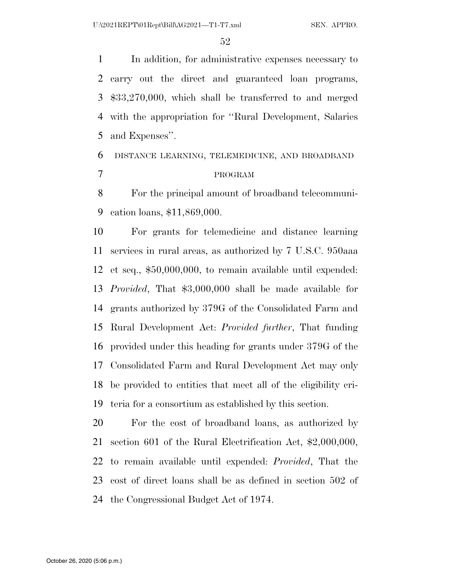In addition, for administrative expenses necessary to carry out the direct and guaranteed loan programs, \$33,270,000, which shall be transferred to and merged with the appropriation for ''Rural Development, Salaries and Expenses''.

# DISTANCE LEARNING, TELEMEDICINE, AND BROADBAND PROGRAM

 For the principal amount of broadband telecommuni-cation loans, \$11,869,000.

 For grants for telemedicine and distance learning services in rural areas, as authorized by 7 U.S.C. 950aaa et seq., \$50,000,000, to remain available until expended: *Provided*, That \$3,000,000 shall be made available for grants authorized by 379G of the Consolidated Farm and Rural Development Act: *Provided further*, That funding provided under this heading for grants under 379G of the Consolidated Farm and Rural Development Act may only be provided to entities that meet all of the eligibility cri-teria for a consortium as established by this section.

 For the cost of broadband loans, as authorized by section 601 of the Rural Electrification Act, \$2,000,000, to remain available until expended: *Provided*, That the cost of direct loans shall be as defined in section 502 of the Congressional Budget Act of 1974.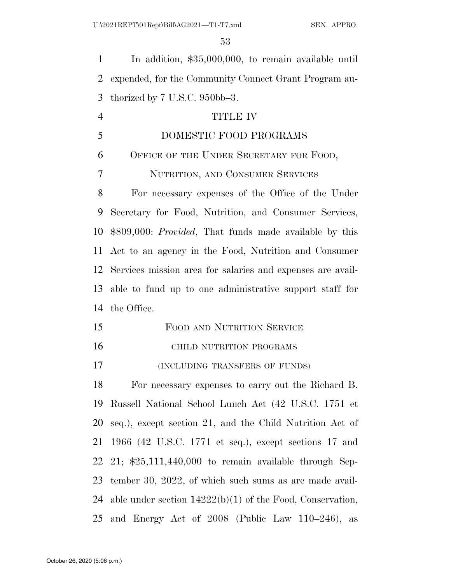In addition, \$35,000,000, to remain available until expended, for the Community Connect Grant Program au-thorized by 7 U.S.C. 950bb–3.

# TITLE IV

DOMESTIC FOOD PROGRAMS

 OFFICE OF THE UNDER SECRETARY FOR FOOD, NUTRITION, AND CONSUMER SERVICES

 For necessary expenses of the Office of the Under Secretary for Food, Nutrition, and Consumer Services, \$809,000: *Provided*, That funds made available by this Act to an agency in the Food, Nutrition and Consumer Services mission area for salaries and expenses are avail- able to fund up to one administrative support staff for the Office.

- FOOD AND NUTRITION SERVICE
- **CHILD NUTRITION PROGRAMS**

(INCLUDING TRANSFERS OF FUNDS)

 For necessary expenses to carry out the Richard B. Russell National School Lunch Act (42 U.S.C. 1751 et seq.), except section 21, and the Child Nutrition Act of 1966 (42 U.S.C. 1771 et seq.), except sections 17 and 21; \$25,111,440,000 to remain available through Sep- tember 30, 2022, of which such sums as are made avail- able under section 14222(b)(1) of the Food, Conservation, 25 and Energy Act of (Public Law  $110-246$ ), as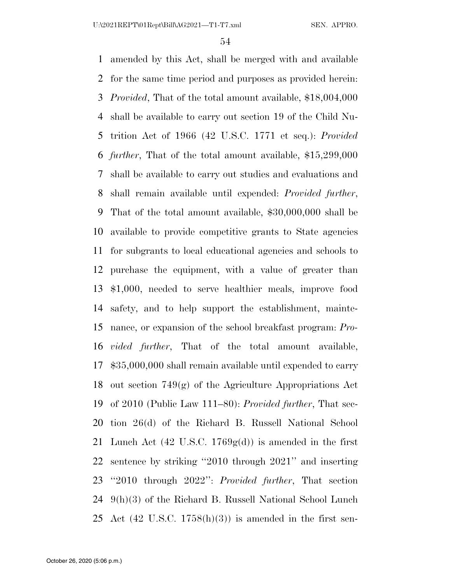amended by this Act, shall be merged with and available for the same time period and purposes as provided herein: *Provided*, That of the total amount available, \$18,004,000 shall be available to carry out section 19 of the Child Nu- trition Act of 1966 (42 U.S.C. 1771 et seq.): *Provided further*, That of the total amount available, \$15,299,000 shall be available to carry out studies and evaluations and shall remain available until expended: *Provided further*, That of the total amount available, \$30,000,000 shall be available to provide competitive grants to State agencies for subgrants to local educational agencies and schools to purchase the equipment, with a value of greater than \$1,000, needed to serve healthier meals, improve food safety, and to help support the establishment, mainte- nance, or expansion of the school breakfast program: *Pro- vided further*, That of the total amount available, \$35,000,000 shall remain available until expended to carry 18 out section  $749(g)$  of the Agriculture Appropriations Act of 2010 (Public Law 111–80): *Provided further*, That sec- tion 26(d) of the Richard B. Russell National School 21 Lunch Act  $(42 \text{ U.S.C. } 1769g(d))$  is amended in the first sentence by striking ''2010 through 2021'' and inserting ''2010 through 2022'': *Provided further*, That section 9(h)(3) of the Richard B. Russell National School Lunch 25 Act  $(42 \text{ U.S.C. } 1758(h)(3))$  is amended in the first sen-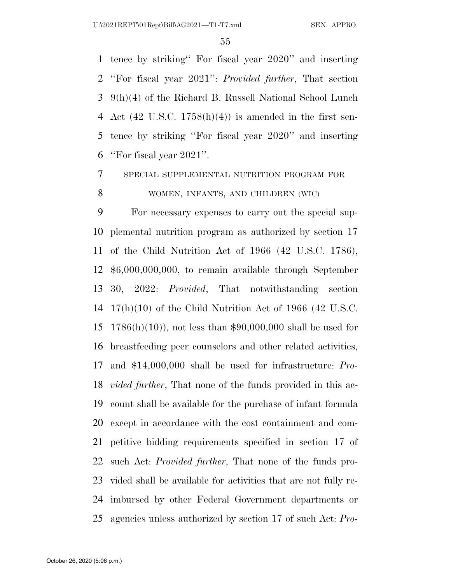tence by striking'' For fiscal year 2020'' and inserting ''For fiscal year 2021'': *Provided further*, That section 9(h)(4) of the Richard B. Russell National School Lunch 4 Act (42 U.S.C.  $1758(h)(4)$ ) is amended in the first sen- tence by striking ''For fiscal year 2020'' and inserting ''For fiscal year 2021''.

SPECIAL SUPPLEMENTAL NUTRITION PROGRAM FOR

WOMEN, INFANTS, AND CHILDREN (WIC)

 For necessary expenses to carry out the special sup- plemental nutrition program as authorized by section 17 of the Child Nutrition Act of 1966 (42 U.S.C. 1786), \$6,000,000,000, to remain available through September 30, 2022: *Provided*, That notwithstanding section 17(h)(10) of the Child Nutrition Act of 1966 (42 U.S.C. 1786(h)(10)), not less than \$90,000,000 shall be used for breastfeeding peer counselors and other related activities, and \$14,000,000 shall be used for infrastructure: *Pro- vided further*, That none of the funds provided in this ac- count shall be available for the purchase of infant formula except in accordance with the cost containment and com- petitive bidding requirements specified in section 17 of such Act: *Provided further*, That none of the funds pro- vided shall be available for activities that are not fully re- imbursed by other Federal Government departments or agencies unless authorized by section 17 of such Act: *Pro-*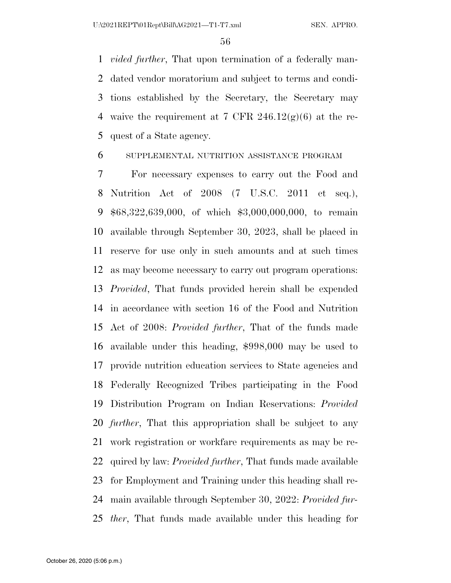*vided further*, That upon termination of a federally man- dated vendor moratorium and subject to terms and condi- tions established by the Secretary, the Secretary may 4 waive the requirement at 7 CFR  $246.12(g)(6)$  at the re-quest of a State agency.

### SUPPLEMENTAL NUTRITION ASSISTANCE PROGRAM

 For necessary expenses to carry out the Food and Nutrition Act of 2008 (7 U.S.C. 2011 et seq.), \$68,322,639,000, of which \$3,000,000,000, to remain available through September 30, 2023, shall be placed in reserve for use only in such amounts and at such times as may become necessary to carry out program operations: *Provided*, That funds provided herein shall be expended in accordance with section 16 of the Food and Nutrition Act of 2008: *Provided further*, That of the funds made available under this heading, \$998,000 may be used to provide nutrition education services to State agencies and Federally Recognized Tribes participating in the Food Distribution Program on Indian Reservations: *Provided further*, That this appropriation shall be subject to any work registration or workfare requirements as may be re- quired by law: *Provided further*, That funds made available for Employment and Training under this heading shall re- main available through September 30, 2022: *Provided fur-ther*, That funds made available under this heading for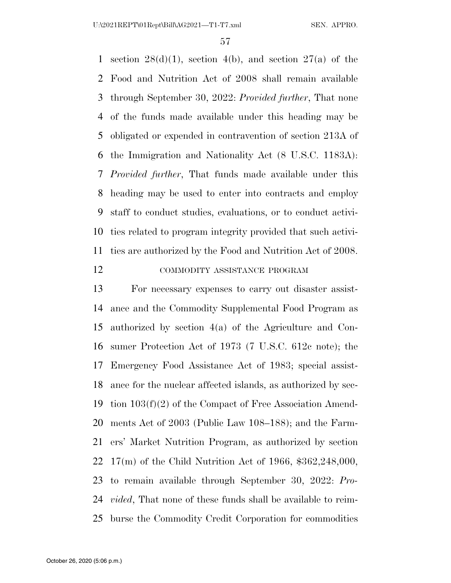1 section  $28(d)(1)$ , section 4(b), and section  $27(a)$  of the Food and Nutrition Act of 2008 shall remain available through September 30, 2022: *Provided further*, That none of the funds made available under this heading may be obligated or expended in contravention of section 213A of the Immigration and Nationality Act (8 U.S.C. 1183A): *Provided further*, That funds made available under this heading may be used to enter into contracts and employ staff to conduct studies, evaluations, or to conduct activi- ties related to program integrity provided that such activi-ties are authorized by the Food and Nutrition Act of 2008.

### 12 COMMODITY ASSISTANCE PROGRAM

 For necessary expenses to carry out disaster assist- ance and the Commodity Supplemental Food Program as authorized by section 4(a) of the Agriculture and Con- sumer Protection Act of 1973 (7 U.S.C. 612c note); the Emergency Food Assistance Act of 1983; special assist- ance for the nuclear affected islands, as authorized by sec- tion 103(f)(2) of the Compact of Free Association Amend- ments Act of 2003 (Public Law 108–188); and the Farm- ers' Market Nutrition Program, as authorized by section 17(m) of the Child Nutrition Act of 1966, \$362,248,000, to remain available through September 30, 2022: *Pro- vided*, That none of these funds shall be available to reim-burse the Commodity Credit Corporation for commodities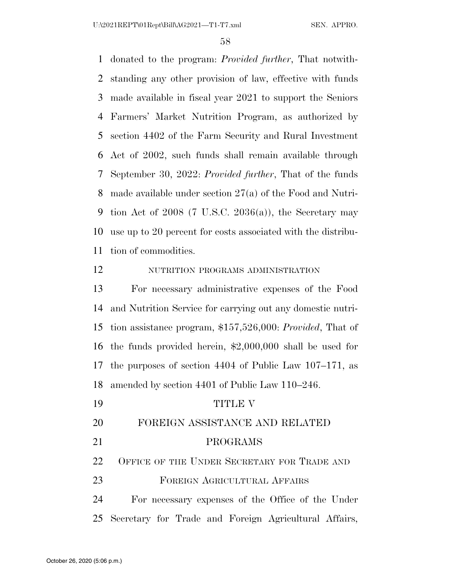donated to the program: *Provided further*, That notwith- standing any other provision of law, effective with funds made available in fiscal year 2021 to support the Seniors Farmers' Market Nutrition Program, as authorized by section 4402 of the Farm Security and Rural Investment Act of 2002, such funds shall remain available through September 30, 2022: *Provided further*, That of the funds made available under section 27(a) of the Food and Nutri-9 tion Act of 2008 (7 U.S.C. 2036(a)), the Secretary may use up to 20 percent for costs associated with the distribu-tion of commodities.

### NUTRITION PROGRAMS ADMINISTRATION

 For necessary administrative expenses of the Food and Nutrition Service for carrying out any domestic nutri- tion assistance program, \$157,526,000: *Provided*, That of the funds provided herein, \$2,000,000 shall be used for the purposes of section 4404 of Public Law 107–171, as amended by section 4401 of Public Law 110–246.

 TITLE V FOREIGN ASSISTANCE AND RELATED PROGRAMS OFFICE OF THE UNDER SECRETARY FOR TRADE AND FOREIGN AGRICULTURAL AFFAIRS For necessary expenses of the Office of the Under

Secretary for Trade and Foreign Agricultural Affairs,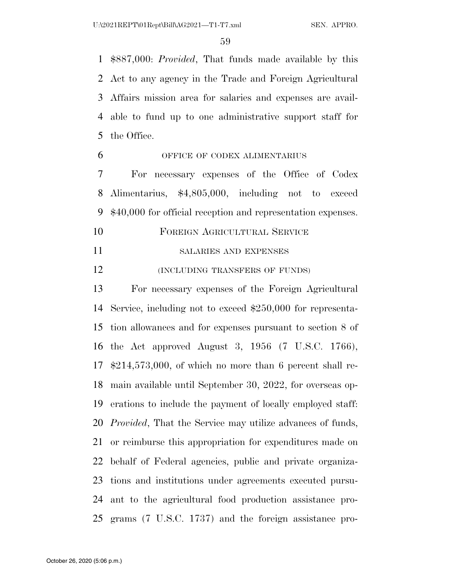\$887,000: *Provided*, That funds made available by this Act to any agency in the Trade and Foreign Agricultural Affairs mission area for salaries and expenses are avail- able to fund up to one administrative support staff for the Office.

### OFFICE OF CODEX ALIMENTARIUS

 For necessary expenses of the Office of Codex Alimentarius, \$4,805,000, including not to exceed \$40,000 for official reception and representation expenses.

- FOREIGN AGRICULTURAL SERVICE
- SALARIES AND EXPENSES

12 (INCLUDING TRANSFERS OF FUNDS)

 For necessary expenses of the Foreign Agricultural Service, including not to exceed \$250,000 for representa- tion allowances and for expenses pursuant to section 8 of the Act approved August 3, 1956 (7 U.S.C. 1766), \$214,573,000, of which no more than 6 percent shall re- main available until September 30, 2022, for overseas op- erations to include the payment of locally employed staff: *Provided*, That the Service may utilize advances of funds, or reimburse this appropriation for expenditures made on behalf of Federal agencies, public and private organiza- tions and institutions under agreements executed pursu- ant to the agricultural food production assistance pro-grams (7 U.S.C. 1737) and the foreign assistance pro-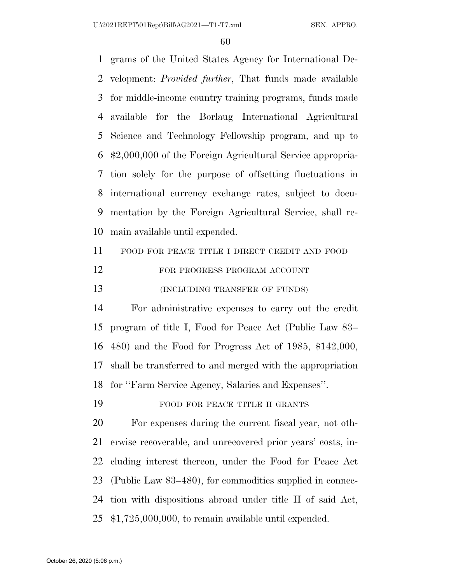grams of the United States Agency for International De- velopment: *Provided further*, That funds made available for middle-income country training programs, funds made available for the Borlaug International Agricultural Science and Technology Fellowship program, and up to \$2,000,000 of the Foreign Agricultural Service appropria- tion solely for the purpose of offsetting fluctuations in international currency exchange rates, subject to docu- mentation by the Foreign Agricultural Service, shall re- main available until expended. FOOD FOR PEACE TITLE I DIRECT CREDIT AND FOOD

- 12 FOR PROGRESS PROGRAM ACCOUNT
- **(INCLUDING TRANSFER OF FUNDS)**

 For administrative expenses to carry out the credit program of title I, Food for Peace Act (Public Law 83– 480) and the Food for Progress Act of 1985, \$142,000, shall be transferred to and merged with the appropriation for ''Farm Service Agency, Salaries and Expenses''.

19 FOOD FOR PEACE TITLE II GRANTS

 For expenses during the current fiscal year, not oth- erwise recoverable, and unrecovered prior years' costs, in- cluding interest thereon, under the Food for Peace Act (Public Law 83–480), for commodities supplied in connec- tion with dispositions abroad under title II of said Act, \$1,725,000,000, to remain available until expended.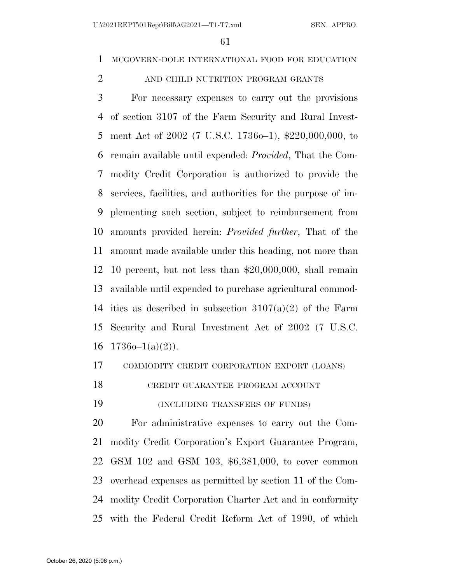### MCGOVERN-DOLE INTERNATIONAL FOOD FOR EDUCATION

### 2 AND CHILD NUTRITION PROGRAM GRANTS

 For necessary expenses to carry out the provisions of section 3107 of the Farm Security and Rural Invest- ment Act of 2002 (7 U.S.C. 1736o–1), \$220,000,000, to remain available until expended: *Provided*, That the Com- modity Credit Corporation is authorized to provide the services, facilities, and authorities for the purpose of im- plementing such section, subject to reimbursement from amounts provided herein: *Provided further*, That of the amount made available under this heading, not more than 10 percent, but not less than \$20,000,000, shall remain available until expended to purchase agricultural commod-14 ities as described in subsection  $3107(a)(2)$  of the Farm Security and Rural Investment Act of 2002 (7 U.S.C.  $17360-1(a)(2)$ ).

### COMMODITY CREDIT CORPORATION EXPORT (LOANS)

CREDIT GUARANTEE PROGRAM ACCOUNT

(INCLUDING TRANSFERS OF FUNDS)

 For administrative expenses to carry out the Com- modity Credit Corporation's Export Guarantee Program, GSM 102 and GSM 103, \$6,381,000, to cover common overhead expenses as permitted by section 11 of the Com- modity Credit Corporation Charter Act and in conformity with the Federal Credit Reform Act of 1990, of which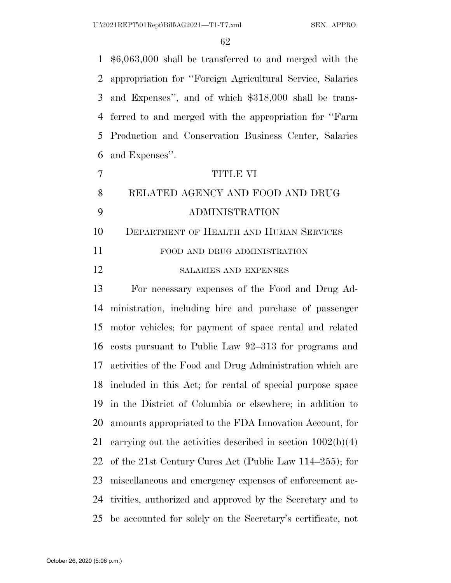\$6,063,000 shall be transferred to and merged with the appropriation for ''Foreign Agricultural Service, Salaries and Expenses'', and of which \$318,000 shall be trans- ferred to and merged with the appropriation for ''Farm Production and Conservation Business Center, Salaries and Expenses''.

|    | TITHE VI                         |
|----|----------------------------------|
| -8 | RELATED AGENCY AND FOOD AND DRUG |
| -Q | ADMINISTRATION                   |

DEPARTMENT OF HEALTH AND HUMAN SERVICES

11 FOOD AND DRUG ADMINISTRATION

### SALARIES AND EXPENSES

 For necessary expenses of the Food and Drug Ad- ministration, including hire and purchase of passenger motor vehicles; for payment of space rental and related costs pursuant to Public Law 92–313 for programs and activities of the Food and Drug Administration which are included in this Act; for rental of special purpose space in the District of Columbia or elsewhere; in addition to amounts appropriated to the FDA Innovation Account, for 21 carrying out the activities described in section  $1002(b)(4)$  of the 21st Century Cures Act (Public Law 114–255); for miscellaneous and emergency expenses of enforcement ac- tivities, authorized and approved by the Secretary and to be accounted for solely on the Secretary's certificate, not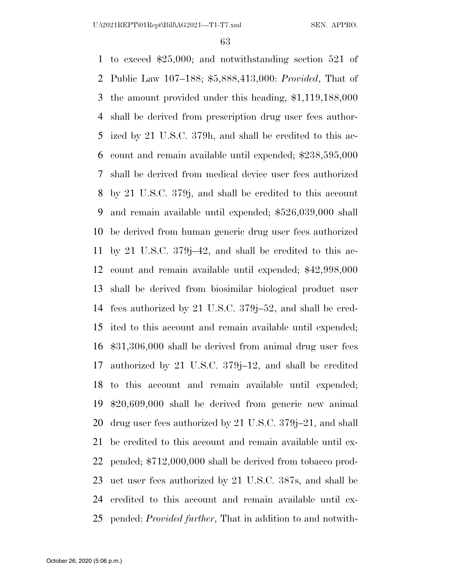to exceed \$25,000; and notwithstanding section 521 of Public Law 107–188; \$5,888,413,000: *Provided*, That of the amount provided under this heading, \$1,119,188,000 shall be derived from prescription drug user fees author- ized by 21 U.S.C. 379h, and shall be credited to this ac- count and remain available until expended; \$238,595,000 shall be derived from medical device user fees authorized by 21 U.S.C. 379j, and shall be credited to this account and remain available until expended; \$526,039,000 shall be derived from human generic drug user fees authorized by 21 U.S.C. 379j–42, and shall be credited to this ac- count and remain available until expended; \$42,998,000 shall be derived from biosimilar biological product user fees authorized by 21 U.S.C. 379j–52, and shall be cred- ited to this account and remain available until expended; \$31,306,000 shall be derived from animal drug user fees authorized by 21 U.S.C. 379j–12, and shall be credited to this account and remain available until expended; \$20,609,000 shall be derived from generic new animal drug user fees authorized by 21 U.S.C. 379j–21, and shall be credited to this account and remain available until ex- pended; \$712,000,000 shall be derived from tobacco prod- uct user fees authorized by 21 U.S.C. 387s, and shall be credited to this account and remain available until ex-pended: *Provided further*, That in addition to and notwith-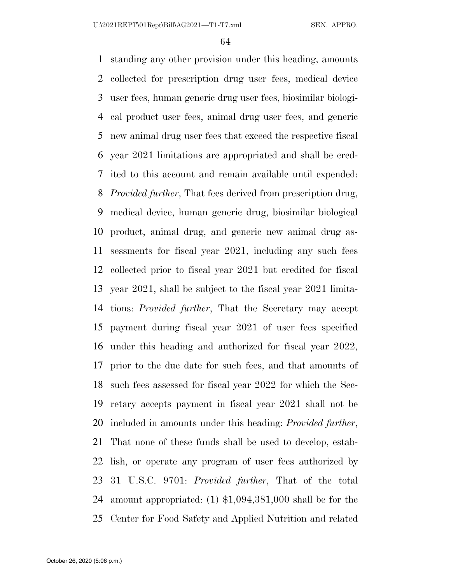standing any other provision under this heading, amounts collected for prescription drug user fees, medical device user fees, human generic drug user fees, biosimilar biologi- cal product user fees, animal drug user fees, and generic new animal drug user fees that exceed the respective fiscal year 2021 limitations are appropriated and shall be cred- ited to this account and remain available until expended: *Provided further*, That fees derived from prescription drug, medical device, human generic drug, biosimilar biological product, animal drug, and generic new animal drug as- sessments for fiscal year 2021, including any such fees collected prior to fiscal year 2021 but credited for fiscal year 2021, shall be subject to the fiscal year 2021 limita- tions: *Provided further*, That the Secretary may accept payment during fiscal year 2021 of user fees specified under this heading and authorized for fiscal year 2022, prior to the due date for such fees, and that amounts of such fees assessed for fiscal year 2022 for which the Sec- retary accepts payment in fiscal year 2021 shall not be included in amounts under this heading: *Provided further*, That none of these funds shall be used to develop, estab- lish, or operate any program of user fees authorized by 31 U.S.C. 9701: *Provided further*, That of the total amount appropriated: (1) \$1,094,381,000 shall be for the Center for Food Safety and Applied Nutrition and related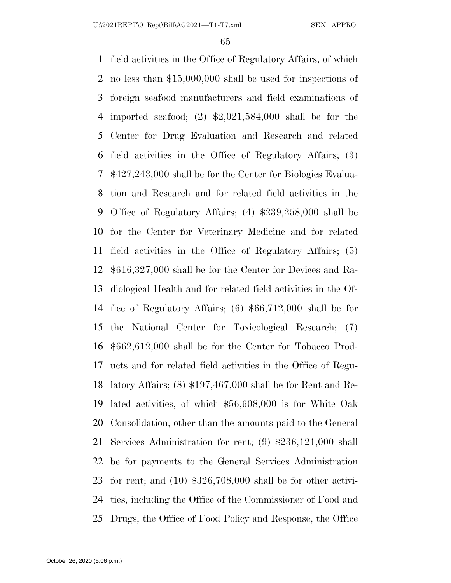field activities in the Office of Regulatory Affairs, of which no less than \$15,000,000 shall be used for inspections of foreign seafood manufacturers and field examinations of imported seafood; (2) \$2,021,584,000 shall be for the Center for Drug Evaluation and Research and related field activities in the Office of Regulatory Affairs; (3) \$427,243,000 shall be for the Center for Biologics Evalua- tion and Research and for related field activities in the Office of Regulatory Affairs; (4) \$239,258,000 shall be for the Center for Veterinary Medicine and for related field activities in the Office of Regulatory Affairs; (5) \$616,327,000 shall be for the Center for Devices and Ra- diological Health and for related field activities in the Of- fice of Regulatory Affairs; (6) \$66,712,000 shall be for the National Center for Toxicological Research; (7) \$662,612,000 shall be for the Center for Tobacco Prod- ucts and for related field activities in the Office of Regu- latory Affairs; (8) \$197,467,000 shall be for Rent and Re- lated activities, of which \$56,608,000 is for White Oak Consolidation, other than the amounts paid to the General Services Administration for rent; (9) \$236,121,000 shall be for payments to the General Services Administration for rent; and (10) \$326,708,000 shall be for other activi- ties, including the Office of the Commissioner of Food and Drugs, the Office of Food Policy and Response, the Office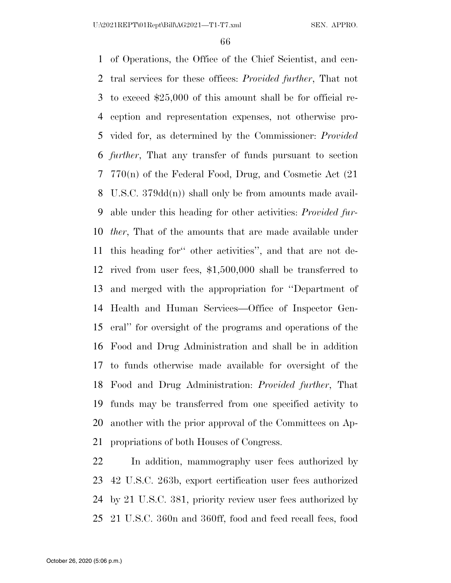of Operations, the Office of the Chief Scientist, and cen- tral services for these offices: *Provided further*, That not to exceed \$25,000 of this amount shall be for official re- ception and representation expenses, not otherwise pro- vided for, as determined by the Commissioner: *Provided further*, That any transfer of funds pursuant to section 770(n) of the Federal Food, Drug, and Cosmetic Act (21 U.S.C. 379dd(n)) shall only be from amounts made avail- able under this heading for other activities: *Provided fur- ther*, That of the amounts that are made available under this heading for'' other activities'', and that are not de- rived from user fees, \$1,500,000 shall be transferred to and merged with the appropriation for ''Department of Health and Human Services—Office of Inspector Gen- eral'' for oversight of the programs and operations of the Food and Drug Administration and shall be in addition to funds otherwise made available for oversight of the Food and Drug Administration: *Provided further*, That funds may be transferred from one specified activity to another with the prior approval of the Committees on Ap-propriations of both Houses of Congress.

 In addition, mammography user fees authorized by 42 U.S.C. 263b, export certification user fees authorized by 21 U.S.C. 381, priority review user fees authorized by 21 U.S.C. 360n and 360ff, food and feed recall fees, food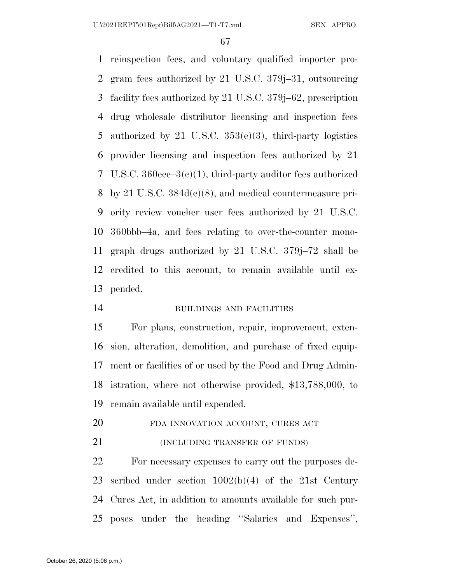reinspection fees, and voluntary qualified importer pro- gram fees authorized by 21 U.S.C. 379j–31, outsourcing facility fees authorized by 21 U.S.C. 379j–62, prescription drug wholesale distributor licensing and inspection fees authorized by 21 U.S.C. 353(e)(3), third-party logistics provider licensing and inspection fees authorized by 21 U.S.C. 360eee–3(c)(1), third-party auditor fees authorized by 21 U.S.C. 384d(c)(8), and medical countermeasure pri- ority review voucher user fees authorized by 21 U.S.C. 360bbb–4a, and fees relating to over-the-counter mono- graph drugs authorized by 21 U.S.C. 379j–72 shall be credited to this account, to remain available until ex-pended.

BUILDINGS AND FACILITIES

 For plans, construction, repair, improvement, exten- sion, alteration, demolition, and purchase of fixed equip- ment or facilities of or used by the Food and Drug Admin- istration, where not otherwise provided, \$13,788,000, to remain available until expended.

- 20 FDA INNOVATION ACCOUNT, CURES ACT
- **(INCLUDING TRANSFER OF FUNDS)**

 For necessary expenses to carry out the purposes de- scribed under section 1002(b)(4) of the 21st Century Cures Act, in addition to amounts available for such pur-poses under the heading ''Salaries and Expenses'',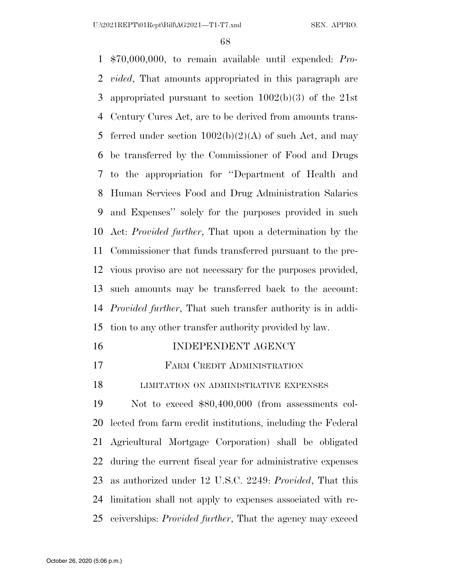\$70,000,000, to remain available until expended: *Pro- vided*, That amounts appropriated in this paragraph are appropriated pursuant to section 1002(b)(3) of the 21st Century Cures Act, are to be derived from amounts trans-5 ferred under section  $1002(b)(2)(A)$  of such Act, and may be transferred by the Commissioner of Food and Drugs to the appropriation for ''Department of Health and Human Services Food and Drug Administration Salaries and Expenses'' solely for the purposes provided in such Act: *Provided further*, That upon a determination by the Commissioner that funds transferred pursuant to the pre- vious proviso are not necessary for the purposes provided, such amounts may be transferred back to the account: *Provided further*, That such transfer authority is in addi-tion to any other transfer authority provided by law.

| 16 | INDEPENDENT AGENCY |
|----|--------------------|
|    |                    |

### FARM CREDIT ADMINISTRATION

**LIMITATION ON ADMINISTRATIVE EXPENSES** 

 Not to exceed \$80,400,000 (from assessments col- lected from farm credit institutions, including the Federal Agricultural Mortgage Corporation) shall be obligated during the current fiscal year for administrative expenses as authorized under 12 U.S.C. 2249: *Provided*, That this limitation shall not apply to expenses associated with re-ceiverships: *Provided further*, That the agency may exceed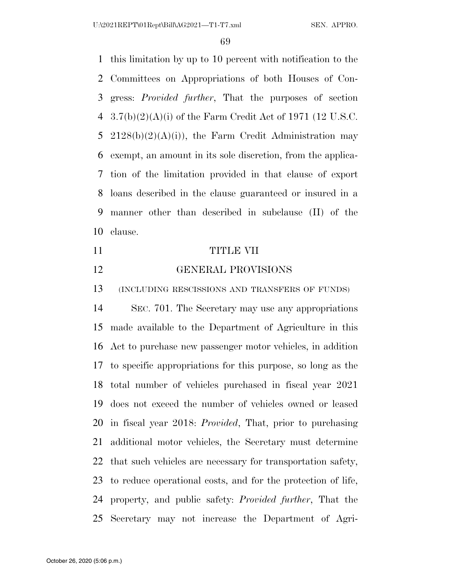this limitation by up to 10 percent with notification to the Committees on Appropriations of both Houses of Con- gress: *Provided further*, That the purposes of section 3.7(b)(2)(A)(i) of the Farm Credit Act of 1971 (12 U.S.C. 5 2128(b)(2)(A)(i)), the Farm Credit Administration may exempt, an amount in its sole discretion, from the applica- tion of the limitation provided in that clause of export loans described in the clause guaranteed or insured in a manner other than described in subclause (II) of the clause.

- TITLE VII
- GENERAL PROVISIONS

(INCLUDING RESCISSIONS AND TRANSFERS OF FUNDS)

 SEC. 701. The Secretary may use any appropriations made available to the Department of Agriculture in this Act to purchase new passenger motor vehicles, in addition to specific appropriations for this purpose, so long as the total number of vehicles purchased in fiscal year 2021 does not exceed the number of vehicles owned or leased in fiscal year 2018: *Provided*, That, prior to purchasing additional motor vehicles, the Secretary must determine that such vehicles are necessary for transportation safety, to reduce operational costs, and for the protection of life, property, and public safety: *Provided further*, That the Secretary may not increase the Department of Agri-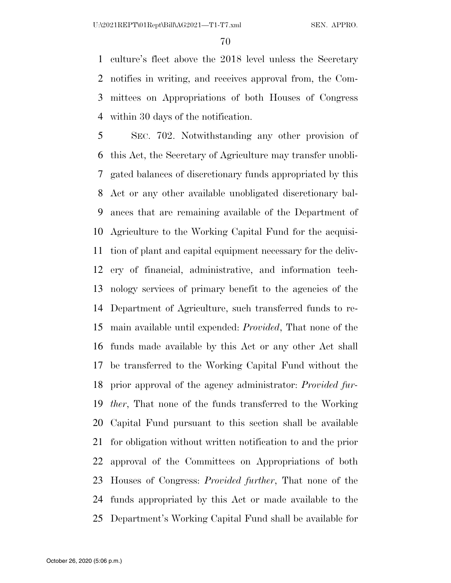culture's fleet above the 2018 level unless the Secretary notifies in writing, and receives approval from, the Com- mittees on Appropriations of both Houses of Congress within 30 days of the notification.

 SEC. 702. Notwithstanding any other provision of this Act, the Secretary of Agriculture may transfer unobli- gated balances of discretionary funds appropriated by this Act or any other available unobligated discretionary bal- ances that are remaining available of the Department of Agriculture to the Working Capital Fund for the acquisi- tion of plant and capital equipment necessary for the deliv- ery of financial, administrative, and information tech- nology services of primary benefit to the agencies of the Department of Agriculture, such transferred funds to re- main available until expended: *Provided*, That none of the funds made available by this Act or any other Act shall be transferred to the Working Capital Fund without the prior approval of the agency administrator: *Provided fur- ther*, That none of the funds transferred to the Working Capital Fund pursuant to this section shall be available for obligation without written notification to and the prior approval of the Committees on Appropriations of both Houses of Congress: *Provided further*, That none of the funds appropriated by this Act or made available to the Department's Working Capital Fund shall be available for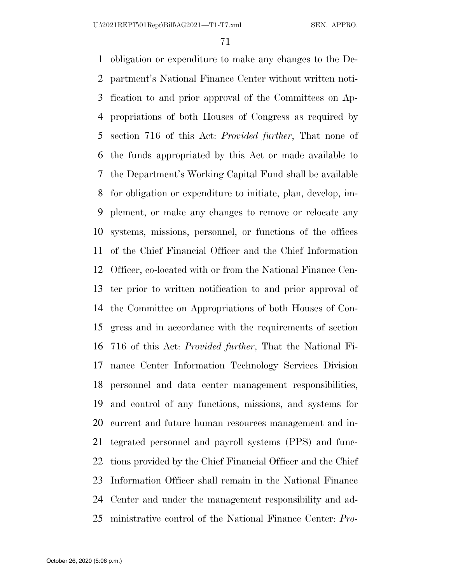obligation or expenditure to make any changes to the De- partment's National Finance Center without written noti- fication to and prior approval of the Committees on Ap- propriations of both Houses of Congress as required by section 716 of this Act: *Provided further*, That none of the funds appropriated by this Act or made available to the Department's Working Capital Fund shall be available for obligation or expenditure to initiate, plan, develop, im- plement, or make any changes to remove or relocate any systems, missions, personnel, or functions of the offices of the Chief Financial Officer and the Chief Information Officer, co-located with or from the National Finance Cen- ter prior to written notification to and prior approval of the Committee on Appropriations of both Houses of Con- gress and in accordance with the requirements of section 716 of this Act: *Provided further*, That the National Fi- nance Center Information Technology Services Division personnel and data center management responsibilities, and control of any functions, missions, and systems for current and future human resources management and in- tegrated personnel and payroll systems (PPS) and func- tions provided by the Chief Financial Officer and the Chief Information Officer shall remain in the National Finance Center and under the management responsibility and ad-ministrative control of the National Finance Center: *Pro-*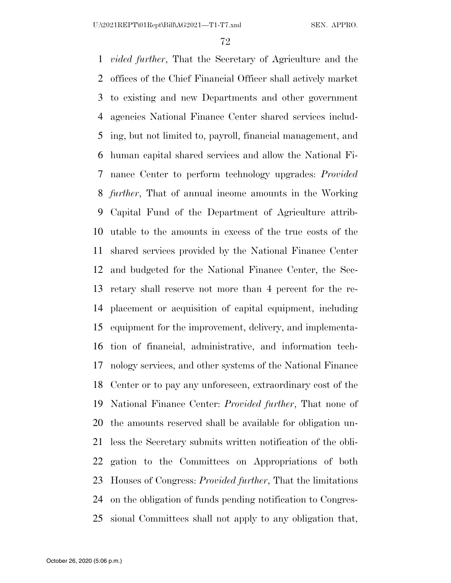*vided further*, That the Secretary of Agriculture and the offices of the Chief Financial Officer shall actively market to existing and new Departments and other government agencies National Finance Center shared services includ- ing, but not limited to, payroll, financial management, and human capital shared services and allow the National Fi- nance Center to perform technology upgrades: *Provided further*, That of annual income amounts in the Working Capital Fund of the Department of Agriculture attrib- utable to the amounts in excess of the true costs of the shared services provided by the National Finance Center and budgeted for the National Finance Center, the Sec- retary shall reserve not more than 4 percent for the re- placement or acquisition of capital equipment, including equipment for the improvement, delivery, and implementa- tion of financial, administrative, and information tech- nology services, and other systems of the National Finance Center or to pay any unforeseen, extraordinary cost of the National Finance Center: *Provided further*, That none of the amounts reserved shall be available for obligation un- less the Secretary submits written notification of the obli- gation to the Committees on Appropriations of both Houses of Congress: *Provided further*, That the limitations on the obligation of funds pending notification to Congres-sional Committees shall not apply to any obligation that,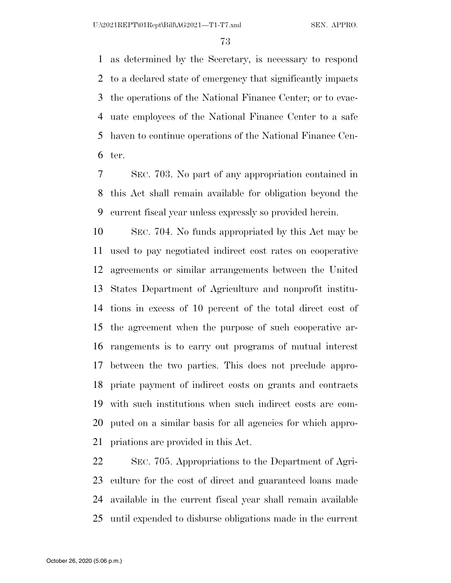as determined by the Secretary, is necessary to respond to a declared state of emergency that significantly impacts the operations of the National Finance Center; or to evac- uate employees of the National Finance Center to a safe haven to continue operations of the National Finance Cen-ter.

 SEC. 703. No part of any appropriation contained in this Act shall remain available for obligation beyond the current fiscal year unless expressly so provided herein.

 SEC. 704. No funds appropriated by this Act may be used to pay negotiated indirect cost rates on cooperative agreements or similar arrangements between the United States Department of Agriculture and nonprofit institu- tions in excess of 10 percent of the total direct cost of the agreement when the purpose of such cooperative ar- rangements is to carry out programs of mutual interest between the two parties. This does not preclude appro- priate payment of indirect costs on grants and contracts with such institutions when such indirect costs are com- puted on a similar basis for all agencies for which appro-priations are provided in this Act.

 SEC. 705. Appropriations to the Department of Agri- culture for the cost of direct and guaranteed loans made available in the current fiscal year shall remain available until expended to disburse obligations made in the current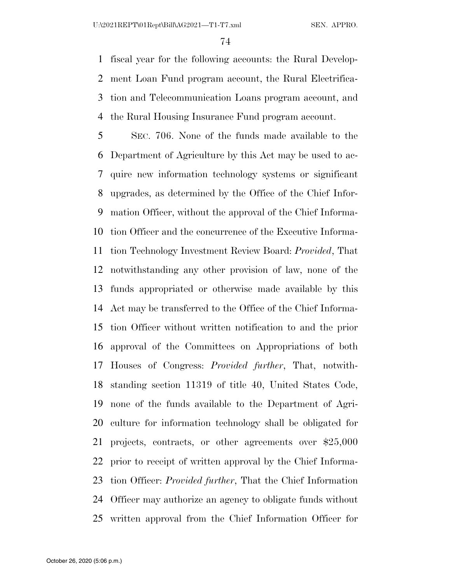fiscal year for the following accounts: the Rural Develop- ment Loan Fund program account, the Rural Electrifica- tion and Telecommunication Loans program account, and the Rural Housing Insurance Fund program account.

 SEC. 706. None of the funds made available to the Department of Agriculture by this Act may be used to ac- quire new information technology systems or significant upgrades, as determined by the Office of the Chief Infor- mation Officer, without the approval of the Chief Informa- tion Officer and the concurrence of the Executive Informa- tion Technology Investment Review Board: *Provided*, That notwithstanding any other provision of law, none of the funds appropriated or otherwise made available by this Act may be transferred to the Office of the Chief Informa- tion Officer without written notification to and the prior approval of the Committees on Appropriations of both Houses of Congress: *Provided further*, That, notwith- standing section 11319 of title 40, United States Code, none of the funds available to the Department of Agri- culture for information technology shall be obligated for projects, contracts, or other agreements over \$25,000 prior to receipt of written approval by the Chief Informa- tion Officer: *Provided further*, That the Chief Information Officer may authorize an agency to obligate funds without written approval from the Chief Information Officer for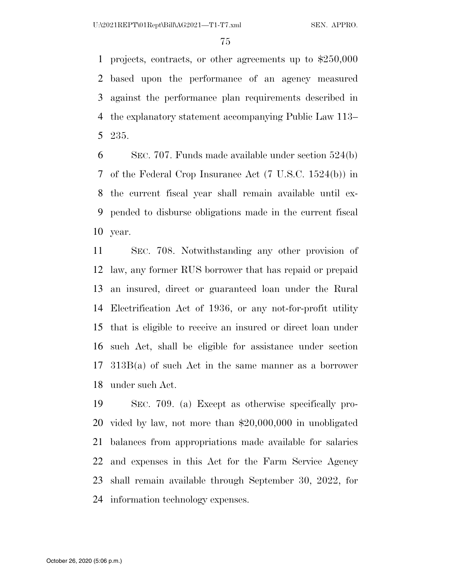projects, contracts, or other agreements up to \$250,000 based upon the performance of an agency measured against the performance plan requirements described in the explanatory statement accompanying Public Law 113– 235.

 SEC. 707. Funds made available under section 524(b) of the Federal Crop Insurance Act (7 U.S.C. 1524(b)) in the current fiscal year shall remain available until ex- pended to disburse obligations made in the current fiscal year.

 SEC. 708. Notwithstanding any other provision of law, any former RUS borrower that has repaid or prepaid an insured, direct or guaranteed loan under the Rural Electrification Act of 1936, or any not-for-profit utility that is eligible to receive an insured or direct loan under such Act, shall be eligible for assistance under section 313B(a) of such Act in the same manner as a borrower under such Act.

 SEC. 709. (a) Except as otherwise specifically pro- vided by law, not more than \$20,000,000 in unobligated balances from appropriations made available for salaries and expenses in this Act for the Farm Service Agency shall remain available through September 30, 2022, for information technology expenses.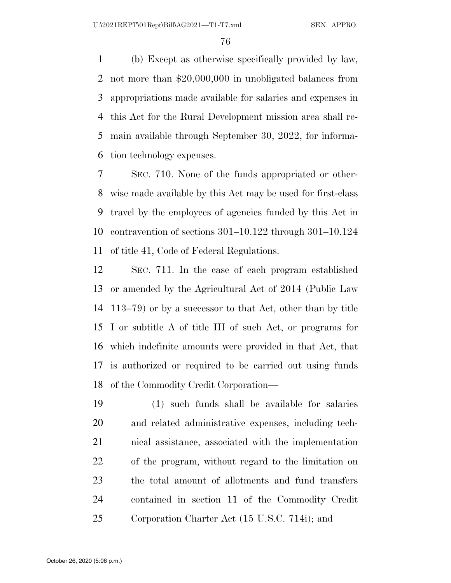(b) Except as otherwise specifically provided by law, not more than \$20,000,000 in unobligated balances from appropriations made available for salaries and expenses in this Act for the Rural Development mission area shall re- main available through September 30, 2022, for informa-tion technology expenses.

 SEC. 710. None of the funds appropriated or other- wise made available by this Act may be used for first-class travel by the employees of agencies funded by this Act in contravention of sections 301–10.122 through 301–10.124 of title 41, Code of Federal Regulations.

 SEC. 711. In the case of each program established or amended by the Agricultural Act of 2014 (Public Law 113–79) or by a successor to that Act, other than by title I or subtitle A of title III of such Act, or programs for which indefinite amounts were provided in that Act, that is authorized or required to be carried out using funds of the Commodity Credit Corporation—

 (1) such funds shall be available for salaries and related administrative expenses, including tech- nical assistance, associated with the implementation of the program, without regard to the limitation on the total amount of allotments and fund transfers contained in section 11 of the Commodity Credit Corporation Charter Act (15 U.S.C. 714i); and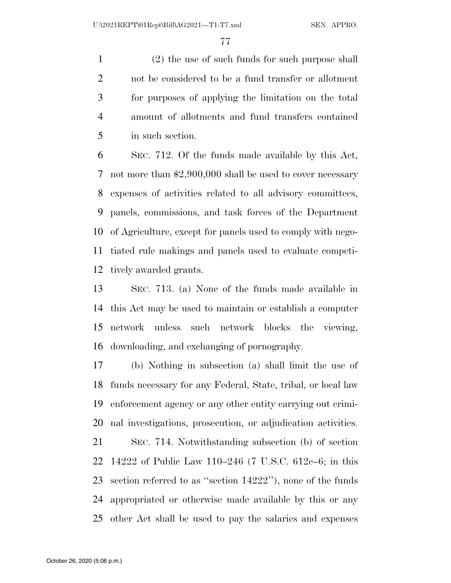(2) the use of such funds for such purpose shall not be considered to be a fund transfer or allotment for purposes of applying the limitation on the total amount of allotments and fund transfers contained in such section.

 SEC. 712. Of the funds made available by this Act, not more than \$2,900,000 shall be used to cover necessary expenses of activities related to all advisory committees, panels, commissions, and task forces of the Department of Agriculture, except for panels used to comply with nego- tiated rule makings and panels used to evaluate competi-tively awarded grants.

 SEC. 713. (a) None of the funds made available in this Act may be used to maintain or establish a computer network unless such network blocks the viewing, downloading, and exchanging of pornography.

 (b) Nothing in subsection (a) shall limit the use of funds necessary for any Federal, State, tribal, or local law enforcement agency or any other entity carrying out crimi-nal investigations, prosecution, or adjudication activities.

 SEC. 714. Notwithstanding subsection (b) of section 14222 of Public Law 110–246 (7 U.S.C. 612c–6; in this section referred to as ''section 14222''), none of the funds appropriated or otherwise made available by this or any other Act shall be used to pay the salaries and expenses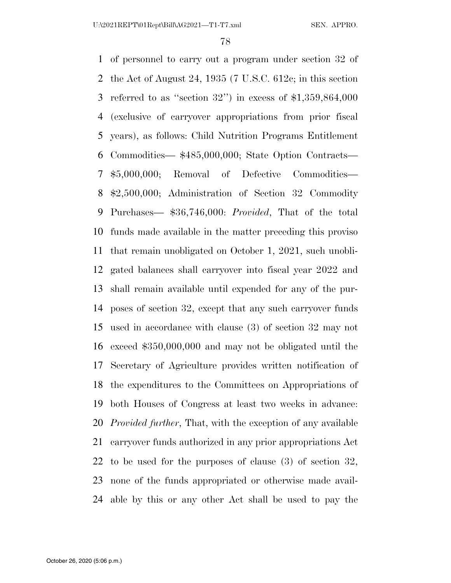of personnel to carry out a program under section 32 of the Act of August 24, 1935 (7 U.S.C. 612c; in this section referred to as ''section 32'') in excess of \$1,359,864,000 (exclusive of carryover appropriations from prior fiscal years), as follows: Child Nutrition Programs Entitlement Commodities— \$485,000,000; State Option Contracts— \$5,000,000; Removal of Defective Commodities— \$2,500,000; Administration of Section 32 Commodity Purchases— \$36,746,000: *Provided*, That of the total funds made available in the matter preceding this proviso that remain unobligated on October 1, 2021, such unobli- gated balances shall carryover into fiscal year 2022 and shall remain available until expended for any of the pur- poses of section 32, except that any such carryover funds used in accordance with clause (3) of section 32 may not exceed \$350,000,000 and may not be obligated until the Secretary of Agriculture provides written notification of the expenditures to the Committees on Appropriations of both Houses of Congress at least two weeks in advance: *Provided further*, That, with the exception of any available carryover funds authorized in any prior appropriations Act to be used for the purposes of clause (3) of section 32, none of the funds appropriated or otherwise made avail-able by this or any other Act shall be used to pay the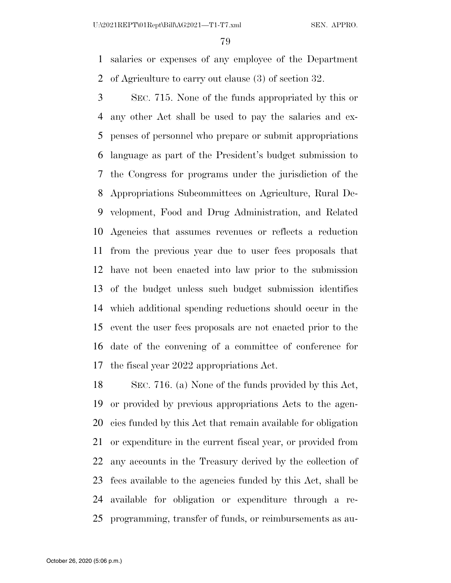salaries or expenses of any employee of the Department of Agriculture to carry out clause (3) of section 32.

 SEC. 715. None of the funds appropriated by this or any other Act shall be used to pay the salaries and ex- penses of personnel who prepare or submit appropriations language as part of the President's budget submission to the Congress for programs under the jurisdiction of the Appropriations Subcommittees on Agriculture, Rural De- velopment, Food and Drug Administration, and Related Agencies that assumes revenues or reflects a reduction from the previous year due to user fees proposals that have not been enacted into law prior to the submission of the budget unless such budget submission identifies which additional spending reductions should occur in the event the user fees proposals are not enacted prior to the date of the convening of a committee of conference for the fiscal year 2022 appropriations Act.

 SEC. 716. (a) None of the funds provided by this Act, or provided by previous appropriations Acts to the agen- cies funded by this Act that remain available for obligation or expenditure in the current fiscal year, or provided from any accounts in the Treasury derived by the collection of fees available to the agencies funded by this Act, shall be available for obligation or expenditure through a re-programming, transfer of funds, or reimbursements as au-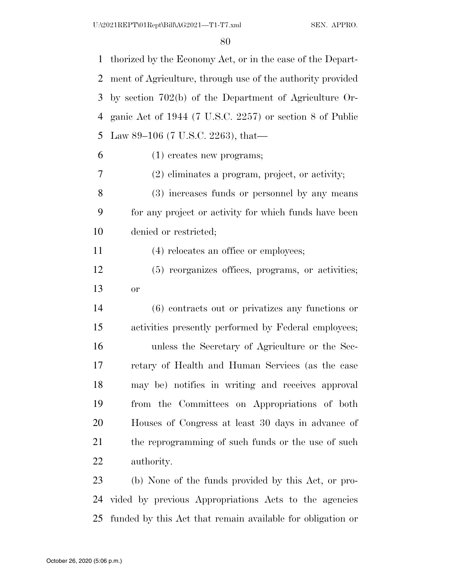thorized by the Economy Act, or in the case of the Depart- ment of Agriculture, through use of the authority provided by section 702(b) of the Department of Agriculture Or- ganic Act of 1944 (7 U.S.C. 2257) or section 8 of Public Law 89–106 (7 U.S.C. 2263), that— (1) creates new programs; (2) eliminates a program, project, or activity; (3) increases funds or personnel by any means for any project or activity for which funds have been denied or restricted; (4) relocates an office or employees; (5) reorganizes offices, programs, or activities; or (6) contracts out or privatizes any functions or activities presently performed by Federal employees; unless the Secretary of Agriculture or the Sec- retary of Health and Human Services (as the case may be) notifies in writing and receives approval from the Committees on Appropriations of both Houses of Congress at least 30 days in advance of 21 the reprogramming of such funds or the use of such authority. (b) None of the funds provided by this Act, or pro-

 vided by previous Appropriations Acts to the agencies funded by this Act that remain available for obligation or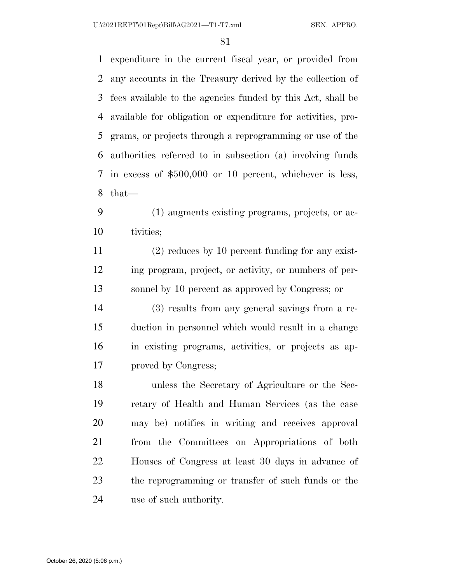expenditure in the current fiscal year, or provided from any accounts in the Treasury derived by the collection of fees available to the agencies funded by this Act, shall be available for obligation or expenditure for activities, pro- grams, or projects through a reprogramming or use of the authorities referred to in subsection (a) involving funds in excess of \$500,000 or 10 percent, whichever is less, that—

 (1) augments existing programs, projects, or ac-tivities;

 (2) reduces by 10 percent funding for any exist- ing program, project, or activity, or numbers of per-sonnel by 10 percent as approved by Congress; or

 (3) results from any general savings from a re- duction in personnel which would result in a change in existing programs, activities, or projects as ap-proved by Congress;

 unless the Secretary of Agriculture or the Sec- retary of Health and Human Services (as the case may be) notifies in writing and receives approval from the Committees on Appropriations of both Houses of Congress at least 30 days in advance of the reprogramming or transfer of such funds or the use of such authority.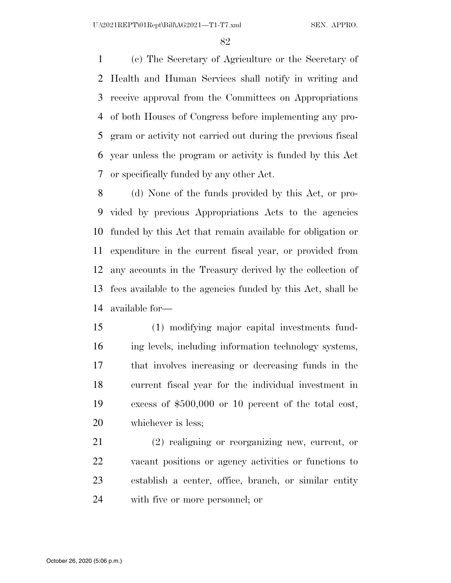(c) The Secretary of Agriculture or the Secretary of Health and Human Services shall notify in writing and receive approval from the Committees on Appropriations of both Houses of Congress before implementing any pro- gram or activity not carried out during the previous fiscal year unless the program or activity is funded by this Act or specifically funded by any other Act.

 (d) None of the funds provided by this Act, or pro- vided by previous Appropriations Acts to the agencies funded by this Act that remain available for obligation or expenditure in the current fiscal year, or provided from any accounts in the Treasury derived by the collection of fees available to the agencies funded by this Act, shall be available for—

 (1) modifying major capital investments fund- ing levels, including information technology systems, that involves increasing or decreasing funds in the current fiscal year for the individual investment in excess of \$500,000 or 10 percent of the total cost, whichever is less;

 (2) realigning or reorganizing new, current, or vacant positions or agency activities or functions to establish a center, office, branch, or similar entity with five or more personnel; or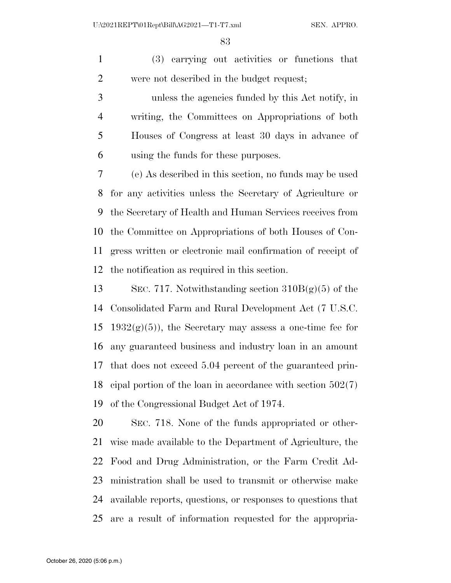(3) carrying out activities or functions that were not described in the budget request;

 unless the agencies funded by this Act notify, in writing, the Committees on Appropriations of both Houses of Congress at least 30 days in advance of using the funds for these purposes.

 (e) As described in this section, no funds may be used for any activities unless the Secretary of Agriculture or the Secretary of Health and Human Services receives from the Committee on Appropriations of both Houses of Con- gress written or electronic mail confirmation of receipt of the notification as required in this section.

 SEC. 717. Notwithstanding section 310B(g)(5) of the Consolidated Farm and Rural Development Act (7 U.S.C. 15 1932 $(g)(5)$ , the Secretary may assess a one-time fee for any guaranteed business and industry loan in an amount that does not exceed 5.04 percent of the guaranteed prin- cipal portion of the loan in accordance with section 502(7) of the Congressional Budget Act of 1974.

 SEC. 718. None of the funds appropriated or other- wise made available to the Department of Agriculture, the Food and Drug Administration, or the Farm Credit Ad- ministration shall be used to transmit or otherwise make available reports, questions, or responses to questions that are a result of information requested for the appropria-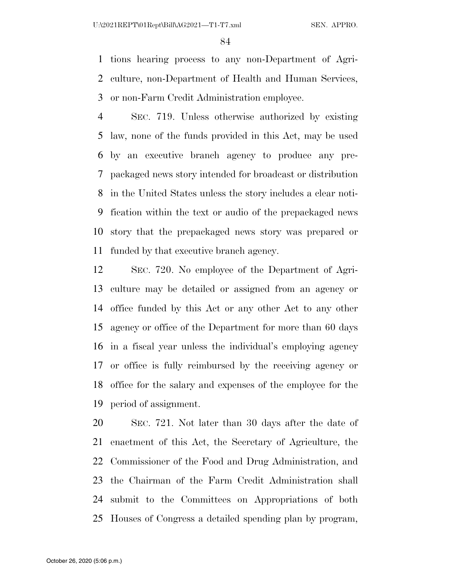tions hearing process to any non-Department of Agri- culture, non-Department of Health and Human Services, or non-Farm Credit Administration employee.

 SEC. 719. Unless otherwise authorized by existing law, none of the funds provided in this Act, may be used by an executive branch agency to produce any pre- packaged news story intended for broadcast or distribution in the United States unless the story includes a clear noti- fication within the text or audio of the prepackaged news story that the prepackaged news story was prepared or funded by that executive branch agency.

 SEC. 720. No employee of the Department of Agri- culture may be detailed or assigned from an agency or office funded by this Act or any other Act to any other agency or office of the Department for more than 60 days in a fiscal year unless the individual's employing agency or office is fully reimbursed by the receiving agency or office for the salary and expenses of the employee for the period of assignment.

 SEC. 721. Not later than 30 days after the date of enactment of this Act, the Secretary of Agriculture, the Commissioner of the Food and Drug Administration, and the Chairman of the Farm Credit Administration shall submit to the Committees on Appropriations of both Houses of Congress a detailed spending plan by program,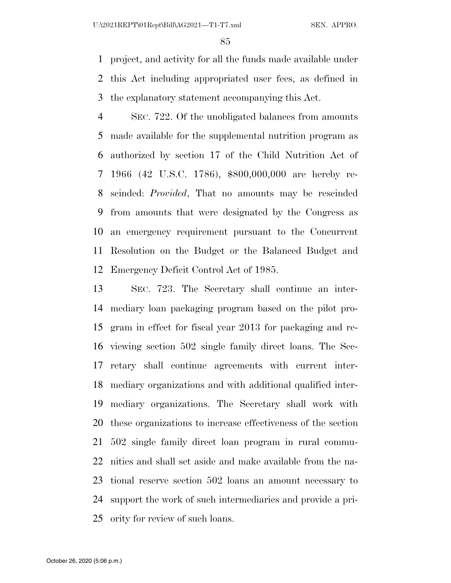project, and activity for all the funds made available under this Act including appropriated user fees, as defined in the explanatory statement accompanying this Act.

 SEC. 722. Of the unobligated balances from amounts made available for the supplemental nutrition program as authorized by section 17 of the Child Nutrition Act of 1966 (42 U.S.C. 1786), \$800,000,000 are hereby re- scinded: *Provided*, That no amounts may be rescinded from amounts that were designated by the Congress as an emergency requirement pursuant to the Concurrent Resolution on the Budget or the Balanced Budget and Emergency Deficit Control Act of 1985.

 SEC. 723. The Secretary shall continue an inter- mediary loan packaging program based on the pilot pro- gram in effect for fiscal year 2013 for packaging and re- viewing section 502 single family direct loans. The Sec- retary shall continue agreements with current inter- mediary organizations and with additional qualified inter- mediary organizations. The Secretary shall work with these organizations to increase effectiveness of the section 502 single family direct loan program in rural commu- nities and shall set aside and make available from the na- tional reserve section 502 loans an amount necessary to support the work of such intermediaries and provide a pri-ority for review of such loans.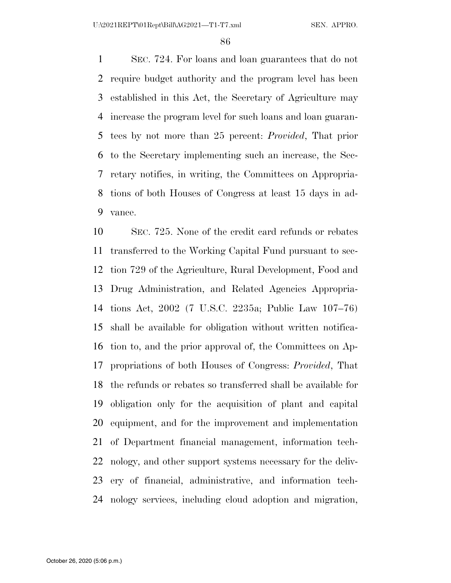SEC. 724. For loans and loan guarantees that do not require budget authority and the program level has been established in this Act, the Secretary of Agriculture may increase the program level for such loans and loan guaran- tees by not more than 25 percent: *Provided*, That prior to the Secretary implementing such an increase, the Sec- retary notifies, in writing, the Committees on Appropria- tions of both Houses of Congress at least 15 days in ad-vance.

 SEC. 725. None of the credit card refunds or rebates transferred to the Working Capital Fund pursuant to sec- tion 729 of the Agriculture, Rural Development, Food and Drug Administration, and Related Agencies Appropria- tions Act, 2002 (7 U.S.C. 2235a; Public Law 107–76) shall be available for obligation without written notifica- tion to, and the prior approval of, the Committees on Ap- propriations of both Houses of Congress: *Provided*, That the refunds or rebates so transferred shall be available for obligation only for the acquisition of plant and capital equipment, and for the improvement and implementation of Department financial management, information tech- nology, and other support systems necessary for the deliv- ery of financial, administrative, and information tech-nology services, including cloud adoption and migration,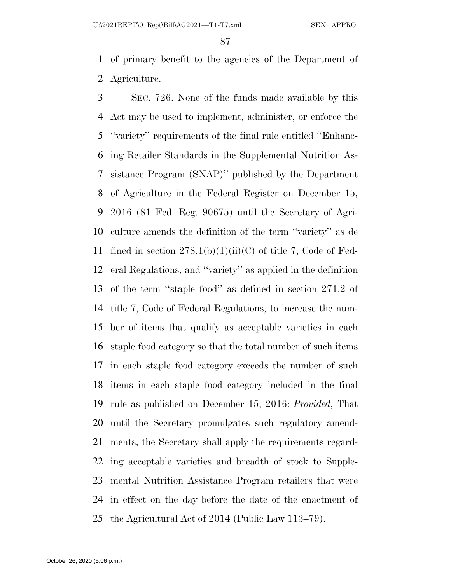of primary benefit to the agencies of the Department of Agriculture.

 SEC. 726. None of the funds made available by this Act may be used to implement, administer, or enforce the ''variety'' requirements of the final rule entitled ''Enhanc- ing Retailer Standards in the Supplemental Nutrition As- sistance Program (SNAP)'' published by the Department of Agriculture in the Federal Register on December 15, 2016 (81 Fed. Reg. 90675) until the Secretary of Agri- culture amends the definition of the term ''variety'' as de 11 fined in section  $278.1(b)(1)(ii)(C)$  of title 7, Code of Fed- eral Regulations, and ''variety'' as applied in the definition of the term ''staple food'' as defined in section 271.2 of title 7, Code of Federal Regulations, to increase the num- ber of items that qualify as acceptable varieties in each staple food category so that the total number of such items in each staple food category exceeds the number of such items in each staple food category included in the final rule as published on December 15, 2016: *Provided*, That until the Secretary promulgates such regulatory amend- ments, the Secretary shall apply the requirements regard- ing acceptable varieties and breadth of stock to Supple- mental Nutrition Assistance Program retailers that were in effect on the day before the date of the enactment of the Agricultural Act of 2014 (Public Law 113–79).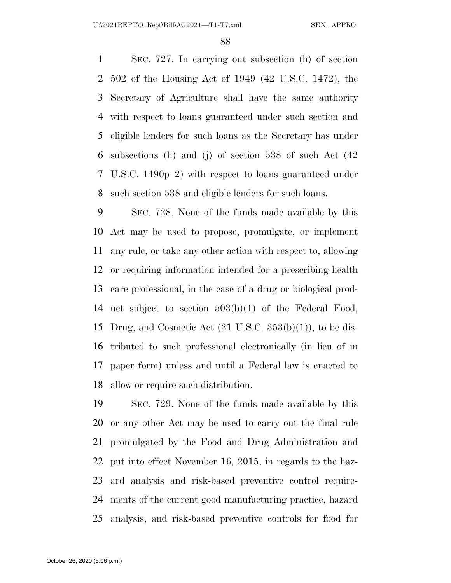SEC. 727. In carrying out subsection (h) of section 502 of the Housing Act of 1949 (42 U.S.C. 1472), the Secretary of Agriculture shall have the same authority with respect to loans guaranteed under such section and eligible lenders for such loans as the Secretary has under subsections (h) and (j) of section 538 of such Act (42 U.S.C. 1490p–2) with respect to loans guaranteed under such section 538 and eligible lenders for such loans.

 SEC. 728. None of the funds made available by this Act may be used to propose, promulgate, or implement any rule, or take any other action with respect to, allowing or requiring information intended for a prescribing health care professional, in the case of a drug or biological prod- uct subject to section 503(b)(1) of the Federal Food, Drug, and Cosmetic Act (21 U.S.C. 353(b)(1)), to be dis- tributed to such professional electronically (in lieu of in paper form) unless and until a Federal law is enacted to allow or require such distribution.

 SEC. 729. None of the funds made available by this or any other Act may be used to carry out the final rule promulgated by the Food and Drug Administration and put into effect November 16, 2015, in regards to the haz- ard analysis and risk-based preventive control require- ments of the current good manufacturing practice, hazard analysis, and risk-based preventive controls for food for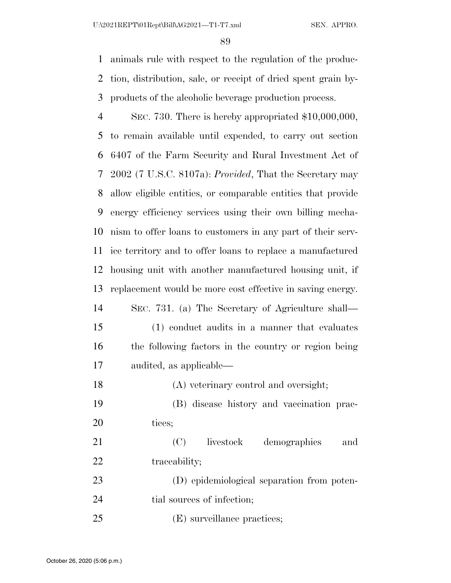animals rule with respect to the regulation of the produc- tion, distribution, sale, or receipt of dried spent grain by-products of the alcoholic beverage production process.

 SEC. 730. There is hereby appropriated \$10,000,000, to remain available until expended, to carry out section 6407 of the Farm Security and Rural Investment Act of 2002 (7 U.S.C. 8107a): *Provided*, That the Secretary may allow eligible entities, or comparable entities that provide energy efficiency services using their own billing mecha- nism to offer loans to customers in any part of their serv- ice territory and to offer loans to replace a manufactured housing unit with another manufactured housing unit, if replacement would be more cost effective in saving energy. SEC. 731. (a) The Secretary of Agriculture shall— (1) conduct audits in a manner that evaluates the following factors in the country or region being audited, as applicable— (A) veterinary control and oversight; (B) disease history and vaccination prac-20 tices; (C) livestock demographics and 22 traceability; (D) epidemiological separation from poten-24 tial sources of infection; (E) surveillance practices;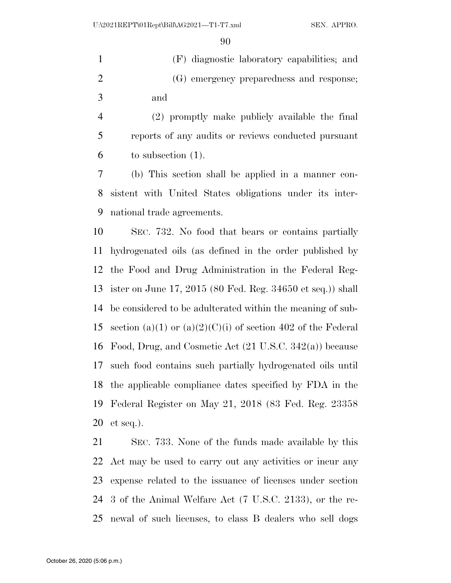(F) diagnostic laboratory capabilities; and (G) emergency preparedness and response; and

 (2) promptly make publicly available the final reports of any audits or reviews conducted pursuant to subsection (1).

 (b) This section shall be applied in a manner con- sistent with United States obligations under its inter-national trade agreements.

 SEC. 732. No food that bears or contains partially hydrogenated oils (as defined in the order published by the Food and Drug Administration in the Federal Reg- ister on June 17, 2015 (80 Fed. Reg. 34650 et seq.)) shall be considered to be adulterated within the meaning of sub-15 section (a)(1) or (a)(2)(C)(i) of section 402 of the Federal Food, Drug, and Cosmetic Act (21 U.S.C. 342(a)) because such food contains such partially hydrogenated oils until the applicable compliance dates specified by FDA in the Federal Register on May 21, 2018 (83 Fed. Reg. 23358 et seq.).

 SEC. 733. None of the funds made available by this Act may be used to carry out any activities or incur any expense related to the issuance of licenses under section 3 of the Animal Welfare Act (7 U.S.C. 2133), or the re-newal of such licenses, to class B dealers who sell dogs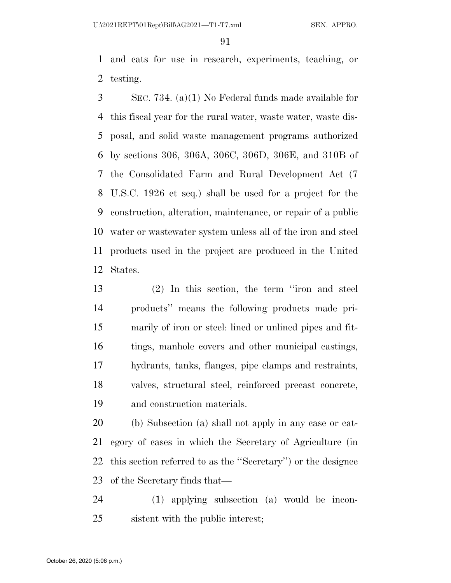and cats for use in research, experiments, teaching, or testing.

 SEC. 734. (a)(1) No Federal funds made available for this fiscal year for the rural water, waste water, waste dis- posal, and solid waste management programs authorized by sections 306, 306A, 306C, 306D, 306E, and 310B of the Consolidated Farm and Rural Development Act (7 U.S.C. 1926 et seq.) shall be used for a project for the construction, alteration, maintenance, or repair of a public water or wastewater system unless all of the iron and steel products used in the project are produced in the United States.

 (2) In this section, the term ''iron and steel products'' means the following products made pri- marily of iron or steel: lined or unlined pipes and fit- tings, manhole covers and other municipal castings, hydrants, tanks, flanges, pipe clamps and restraints, valves, structural steel, reinforced precast concrete, and construction materials.

 (b) Subsection (a) shall not apply in any case or cat- egory of cases in which the Secretary of Agriculture (in this section referred to as the ''Secretary'') or the designee of the Secretary finds that—

 (1) applying subsection (a) would be incon-sistent with the public interest;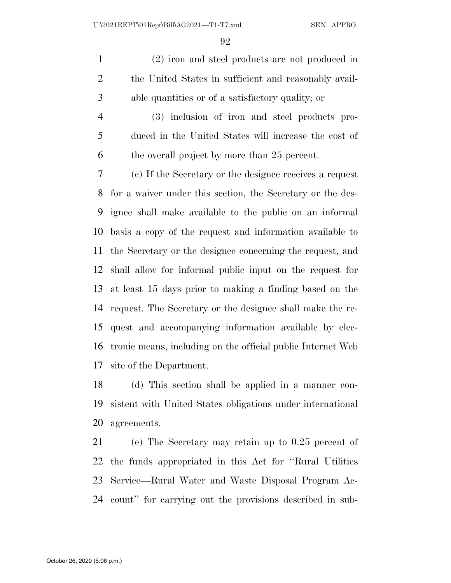(2) iron and steel products are not produced in 2 the United States in sufficient and reasonably avail-able quantities or of a satisfactory quality; or

 (3) inclusion of iron and steel products pro- duced in the United States will increase the cost of the overall project by more than 25 percent.

 (c) If the Secretary or the designee receives a request for a waiver under this section, the Secretary or the des- ignee shall make available to the public on an informal basis a copy of the request and information available to the Secretary or the designee concerning the request, and shall allow for informal public input on the request for at least 15 days prior to making a finding based on the request. The Secretary or the designee shall make the re- quest and accompanying information available by elec- tronic means, including on the official public Internet Web site of the Department.

 (d) This section shall be applied in a manner con- sistent with United States obligations under international agreements.

 (e) The Secretary may retain up to 0.25 percent of the funds appropriated in this Act for ''Rural Utilities Service—Rural Water and Waste Disposal Program Ac-count'' for carrying out the provisions described in sub-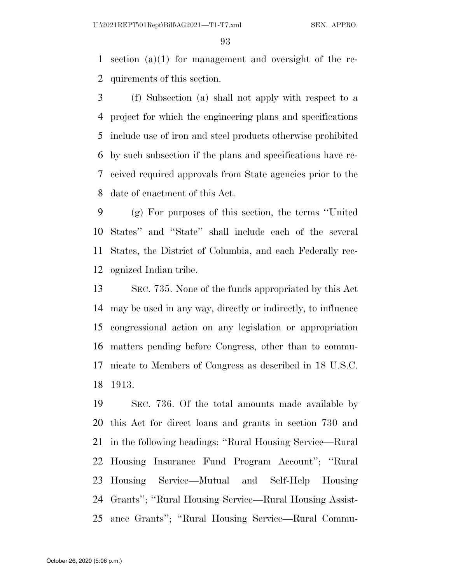section (a)(1) for management and oversight of the re-quirements of this section.

 (f) Subsection (a) shall not apply with respect to a project for which the engineering plans and specifications include use of iron and steel products otherwise prohibited by such subsection if the plans and specifications have re- ceived required approvals from State agencies prior to the date of enactment of this Act.

 (g) For purposes of this section, the terms ''United States'' and ''State'' shall include each of the several States, the District of Columbia, and each Federally rec-ognized Indian tribe.

 SEC. 735. None of the funds appropriated by this Act may be used in any way, directly or indirectly, to influence congressional action on any legislation or appropriation matters pending before Congress, other than to commu- nicate to Members of Congress as described in 18 U.S.C. 1913.

 SEC. 736. Of the total amounts made available by this Act for direct loans and grants in section 730 and in the following headings: ''Rural Housing Service—Rural Housing Insurance Fund Program Account''; ''Rural Housing Service—Mutual and Self-Help Housing Grants''; ''Rural Housing Service—Rural Housing Assist-ance Grants''; ''Rural Housing Service—Rural Commu-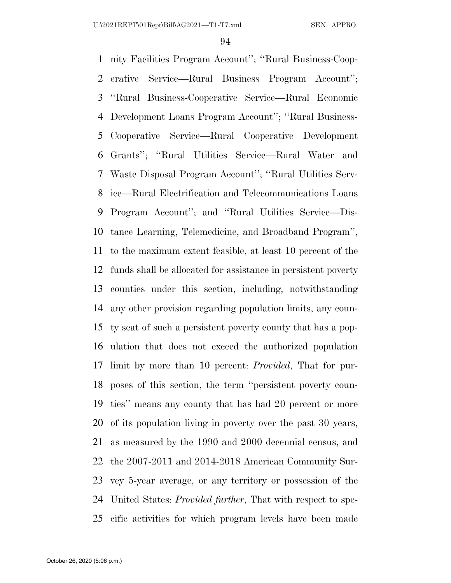nity Facilities Program Account''; ''Rural Business-Coop- erative Service—Rural Business Program Account''; ''Rural Business-Cooperative Service—Rural Economic Development Loans Program Account''; ''Rural Business- Cooperative Service—Rural Cooperative Development Grants''; ''Rural Utilities Service—Rural Water and Waste Disposal Program Account''; ''Rural Utilities Serv- ice—Rural Electrification and Telecommunications Loans Program Account''; and ''Rural Utilities Service—Dis- tance Learning, Telemedicine, and Broadband Program'', to the maximum extent feasible, at least 10 percent of the funds shall be allocated for assistance in persistent poverty counties under this section, including, notwithstanding any other provision regarding population limits, any coun- ty seat of such a persistent poverty county that has a pop- ulation that does not exceed the authorized population limit by more than 10 percent: *Provided*, That for pur- poses of this section, the term ''persistent poverty coun- ties'' means any county that has had 20 percent or more of its population living in poverty over the past 30 years, as measured by the 1990 and 2000 decennial census, and the 2007-2011 and 2014-2018 American Community Sur- vey 5-year average, or any territory or possession of the United States: *Provided further*, That with respect to spe-cific activities for which program levels have been made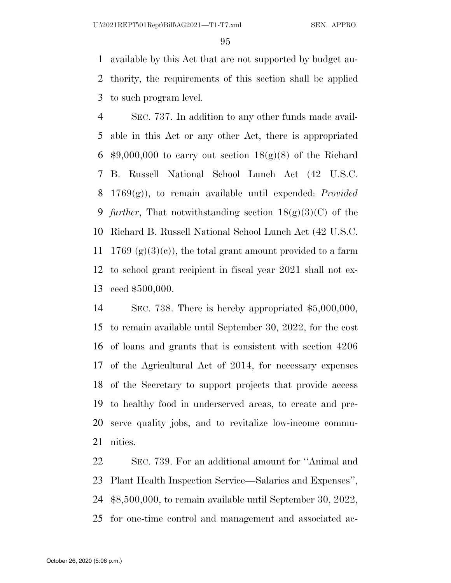available by this Act that are not supported by budget au- thority, the requirements of this section shall be applied to such program level.

 SEC. 737. In addition to any other funds made avail- able in this Act or any other Act, there is appropriated  $$9,000,000$  to carry out section  $18(g)(8)$  of the Richard B. Russell National School Lunch Act (42 U.S.C. 1769(g)), to remain available until expended: *Provided further*, That notwithstanding section 18(g)(3)(C) of the Richard B. Russell National School Lunch Act (42 U.S.C. 11 1769 (g)(3)(e)), the total grant amount provided to a farm to school grant recipient in fiscal year 2021 shall not ex-ceed \$500,000.

 SEC. 738. There is hereby appropriated \$5,000,000, to remain available until September 30, 2022, for the cost of loans and grants that is consistent with section 4206 of the Agricultural Act of 2014, for necessary expenses of the Secretary to support projects that provide access to healthy food in underserved areas, to create and pre- serve quality jobs, and to revitalize low-income commu-nities.

 SEC. 739. For an additional amount for ''Animal and Plant Health Inspection Service—Salaries and Expenses'', \$8,500,000, to remain available until September 30, 2022, for one-time control and management and associated ac-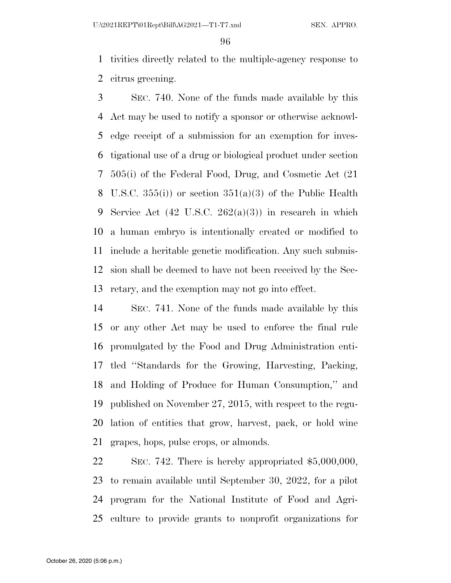tivities directly related to the multiple-agency response to citrus greening.

 SEC. 740. None of the funds made available by this Act may be used to notify a sponsor or otherwise acknowl- edge receipt of a submission for an exemption for inves- tigational use of a drug or biological product under section 505(i) of the Federal Food, Drug, and Cosmetic Act (21 8 U.S.C.  $355(i)$  or section  $351(a)(3)$  of the Public Health Service Act (42 U.S.C. 262(a)(3)) in research in which a human embryo is intentionally created or modified to include a heritable genetic modification. Any such submis- sion shall be deemed to have not been received by the Sec-retary, and the exemption may not go into effect.

 SEC. 741. None of the funds made available by this or any other Act may be used to enforce the final rule promulgated by the Food and Drug Administration enti- tled ''Standards for the Growing, Harvesting, Packing, and Holding of Produce for Human Consumption,'' and published on November 27, 2015, with respect to the regu- lation of entities that grow, harvest, pack, or hold wine grapes, hops, pulse crops, or almonds.

 SEC. 742. There is hereby appropriated \$5,000,000, to remain available until September 30, 2022, for a pilot program for the National Institute of Food and Agri-culture to provide grants to nonprofit organizations for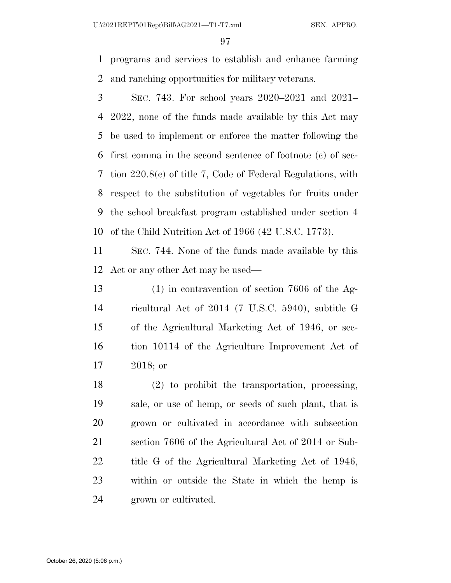programs and services to establish and enhance farming and ranching opportunities for military veterans.

 SEC. 743. For school years 2020–2021 and 2021– 2022, none of the funds made available by this Act may be used to implement or enforce the matter following the first comma in the second sentence of footnote (c) of sec- tion 220.8(c) of title 7, Code of Federal Regulations, with respect to the substitution of vegetables for fruits under the school breakfast program established under section 4 of the Child Nutrition Act of 1966 (42 U.S.C. 1773).

 SEC. 744. None of the funds made available by this Act or any other Act may be used—

 (1) in contravention of section 7606 of the Ag- ricultural Act of 2014 (7 U.S.C. 5940), subtitle G of the Agricultural Marketing Act of 1946, or sec- tion 10114 of the Agriculture Improvement Act of 2018; or

 (2) to prohibit the transportation, processing, sale, or use of hemp, or seeds of such plant, that is grown or cultivated in accordance with subsection section 7606 of the Agricultural Act of 2014 or Sub- title G of the Agricultural Marketing Act of 1946, within or outside the State in which the hemp is grown or cultivated.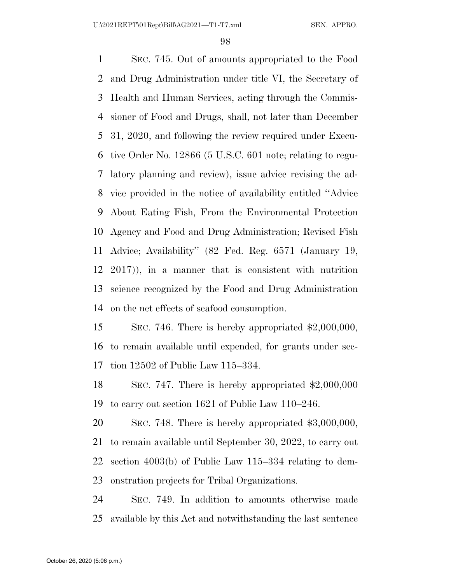SEC. 745. Out of amounts appropriated to the Food and Drug Administration under title VI, the Secretary of Health and Human Services, acting through the Commis- sioner of Food and Drugs, shall, not later than December 31, 2020, and following the review required under Execu- tive Order No. 12866 (5 U.S.C. 601 note; relating to regu- latory planning and review), issue advice revising the ad- vice provided in the notice of availability entitled ''Advice About Eating Fish, From the Environmental Protection Agency and Food and Drug Administration; Revised Fish Advice; Availability'' (82 Fed. Reg. 6571 (January 19, 2017)), in a manner that is consistent with nutrition science recognized by the Food and Drug Administration on the net effects of seafood consumption.

 SEC. 746. There is hereby appropriated \$2,000,000, to remain available until expended, for grants under sec-tion 12502 of Public Law 115–334.

 SEC. 747. There is hereby appropriated \$2,000,000 to carry out section 1621 of Public Law 110–246.

 SEC. 748. There is hereby appropriated \$3,000,000, to remain available until September 30, 2022, to carry out section 4003(b) of Public Law 115–334 relating to dem-onstration projects for Tribal Organizations.

 SEC. 749. In addition to amounts otherwise made available by this Act and notwithstanding the last sentence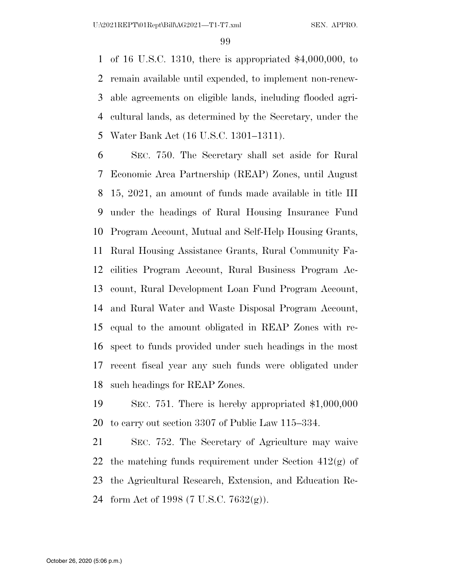of 16 U.S.C. 1310, there is appropriated \$4,000,000, to remain available until expended, to implement non-renew- able agreements on eligible lands, including flooded agri- cultural lands, as determined by the Secretary, under the Water Bank Act (16 U.S.C. 1301–1311).

 SEC. 750. The Secretary shall set aside for Rural Economic Area Partnership (REAP) Zones, until August 15, 2021, an amount of funds made available in title III under the headings of Rural Housing Insurance Fund Program Account, Mutual and Self-Help Housing Grants, Rural Housing Assistance Grants, Rural Community Fa- cilities Program Account, Rural Business Program Ac- count, Rural Development Loan Fund Program Account, and Rural Water and Waste Disposal Program Account, equal to the amount obligated in REAP Zones with re- spect to funds provided under such headings in the most recent fiscal year any such funds were obligated under such headings for REAP Zones.

 SEC. 751. There is hereby appropriated \$1,000,000 to carry out section 3307 of Public Law 115–334.

 SEC. 752. The Secretary of Agriculture may waive 22 the matching funds requirement under Section  $412(g)$  of the Agricultural Research, Extension, and Education Re-form Act of 1998 (7 U.S.C. 7632(g)).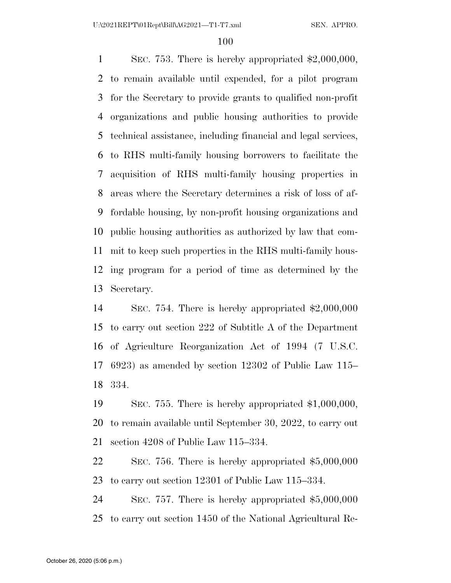SEC. 753. There is hereby appropriated \$2,000,000, to remain available until expended, for a pilot program for the Secretary to provide grants to qualified non-profit organizations and public housing authorities to provide technical assistance, including financial and legal services, to RHS multi-family housing borrowers to facilitate the acquisition of RHS multi-family housing properties in areas where the Secretary determines a risk of loss of af- fordable housing, by non-profit housing organizations and public housing authorities as authorized by law that com- mit to keep such properties in the RHS multi-family hous- ing program for a period of time as determined by the Secretary.

 SEC. 754. There is hereby appropriated \$2,000,000 to carry out section 222 of Subtitle A of the Department of Agriculture Reorganization Act of 1994 (7 U.S.C. 6923) as amended by section 12302 of Public Law 115– 334.

 SEC. 755. There is hereby appropriated \$1,000,000, to remain available until September 30, 2022, to carry out section 4208 of Public Law 115–334.

 SEC. 756. There is hereby appropriated \$5,000,000 to carry out section 12301 of Public Law 115–334.

 SEC. 757. There is hereby appropriated \$5,000,000 to carry out section 1450 of the National Agricultural Re-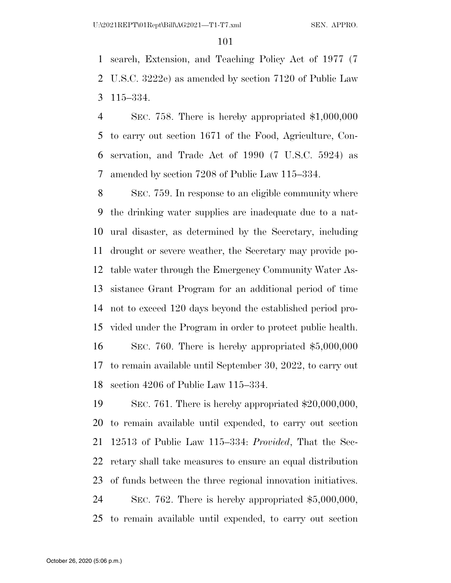search, Extension, and Teaching Policy Act of 1977 (7 U.S.C. 3222e) as amended by section 7120 of Public Law 115–334.

 SEC. 758. There is hereby appropriated \$1,000,000 to carry out section 1671 of the Food, Agriculture, Con- servation, and Trade Act of 1990 (7 U.S.C. 5924) as amended by section 7208 of Public Law 115–334.

 SEC. 759. In response to an eligible community where the drinking water supplies are inadequate due to a nat- ural disaster, as determined by the Secretary, including drought or severe weather, the Secretary may provide po- table water through the Emergency Community Water As- sistance Grant Program for an additional period of time not to exceed 120 days beyond the established period pro- vided under the Program in order to protect public health. SEC. 760. There is hereby appropriated \$5,000,000 to remain available until September 30, 2022, to carry out section 4206 of Public Law 115–334.

 SEC. 761. There is hereby appropriated \$20,000,000, to remain available until expended, to carry out section 12513 of Public Law 115–334: *Provided*, That the Sec- retary shall take measures to ensure an equal distribution of funds between the three regional innovation initiatives. SEC. 762. There is hereby appropriated \$5,000,000, to remain available until expended, to carry out section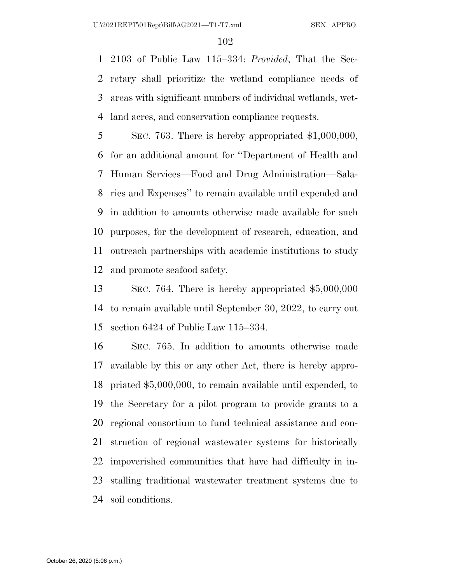2103 of Public Law 115–334: *Provided*, That the Sec- retary shall prioritize the wetland compliance needs of areas with significant numbers of individual wetlands, wet-land acres, and conservation compliance requests.

 SEC. 763. There is hereby appropriated \$1,000,000, for an additional amount for ''Department of Health and Human Services—Food and Drug Administration—Sala- ries and Expenses'' to remain available until expended and in addition to amounts otherwise made available for such purposes, for the development of research, education, and outreach partnerships with academic institutions to study and promote seafood safety.

 SEC. 764. There is hereby appropriated \$5,000,000 to remain available until September 30, 2022, to carry out section 6424 of Public Law 115–334.

 SEC. 765. In addition to amounts otherwise made available by this or any other Act, there is hereby appro- priated \$5,000,000, to remain available until expended, to the Secretary for a pilot program to provide grants to a regional consortium to fund technical assistance and con- struction of regional wastewater systems for historically impoverished communities that have had difficulty in in- stalling traditional wastewater treatment systems due to soil conditions.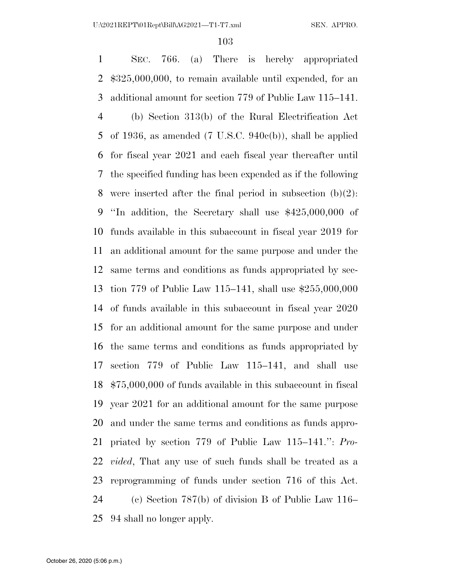SEC. 766. (a) There is hereby appropriated \$325,000,000, to remain available until expended, for an additional amount for section 779 of Public Law 115–141. (b) Section 313(b) of the Rural Electrification Act of 1936, as amended (7 U.S.C. 940c(b)), shall be applied for fiscal year 2021 and each fiscal year thereafter until the specified funding has been expended as if the following 8 were inserted after the final period in subsection  $(b)(2)$ : ''In addition, the Secretary shall use \$425,000,000 of funds available in this subaccount in fiscal year 2019 for an additional amount for the same purpose and under the same terms and conditions as funds appropriated by sec- tion 779 of Public Law 115–141, shall use \$255,000,000 of funds available in this subaccount in fiscal year 2020 for an additional amount for the same purpose and under the same terms and conditions as funds appropriated by section 779 of Public Law 115–141, and shall use \$75,000,000 of funds available in this subaccount in fiscal year 2021 for an additional amount for the same purpose and under the same terms and conditions as funds appro- priated by section 779 of Public Law 115–141.'': *Pro- vided*, That any use of such funds shall be treated as a reprogramming of funds under section 716 of this Act. (c) Section 787(b) of division B of Public Law 116– 94 shall no longer apply.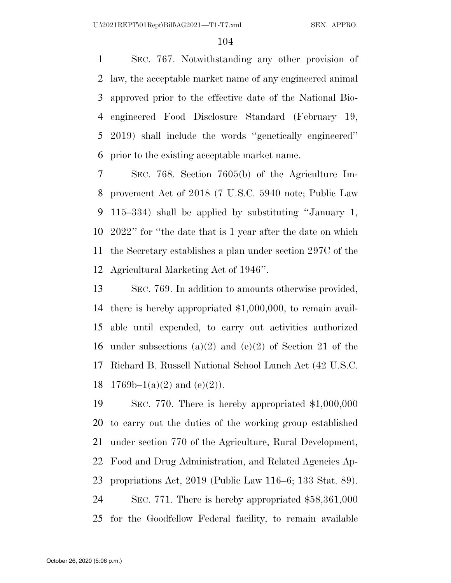SEC. 767. Notwithstanding any other provision of law, the acceptable market name of any engineered animal approved prior to the effective date of the National Bio- engineered Food Disclosure Standard (February 19, 2019) shall include the words ''genetically engineered'' prior to the existing acceptable market name.

 SEC. 768. Section 7605(b) of the Agriculture Im- provement Act of 2018 (7 U.S.C. 5940 note; Public Law 115–334) shall be applied by substituting ''January 1, 2022'' for ''the date that is 1 year after the date on which the Secretary establishes a plan under section 297C of the Agricultural Marketing Act of 1946''.

 SEC. 769. In addition to amounts otherwise provided, there is hereby appropriated \$1,000,000, to remain avail- able until expended, to carry out activities authorized under subsections (a)(2) and (e)(2) of Section 21 of the Richard B. Russell National School Lunch Act (42 U.S.C. 18 1769b–1(a)(2) and (e)(2)).

 SEC. 770. There is hereby appropriated \$1,000,000 to carry out the duties of the working group established under section 770 of the Agriculture, Rural Development, Food and Drug Administration, and Related Agencies Ap- propriations Act, 2019 (Public Law 116–6; 133 Stat. 89). SEC. 771. There is hereby appropriated \$58,361,000 for the Goodfellow Federal facility, to remain available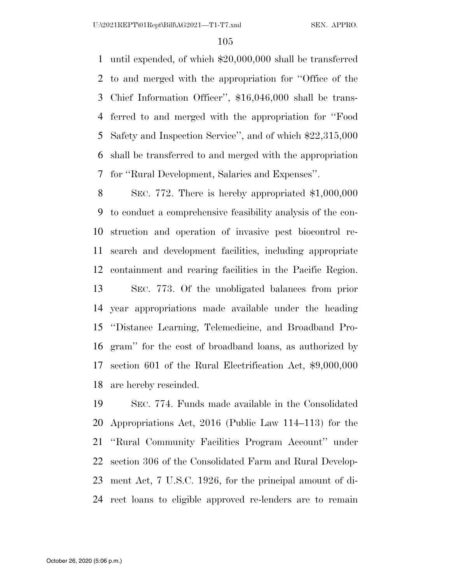until expended, of which \$20,000,000 shall be transferred to and merged with the appropriation for ''Office of the Chief Information Officer'', \$16,046,000 shall be trans- ferred to and merged with the appropriation for ''Food Safety and Inspection Service'', and of which \$22,315,000 shall be transferred to and merged with the appropriation for ''Rural Development, Salaries and Expenses''.

 SEC. 772. There is hereby appropriated \$1,000,000 to conduct a comprehensive feasibility analysis of the con- struction and operation of invasive pest biocontrol re- search and development facilities, including appropriate containment and rearing facilities in the Pacific Region. SEC. 773. Of the unobligated balances from prior year appropriations made available under the heading ''Distance Learning, Telemedicine, and Broadband Pro- gram'' for the cost of broadband loans, as authorized by section 601 of the Rural Electrification Act, \$9,000,000 are hereby rescinded.

 SEC. 774. Funds made available in the Consolidated Appropriations Act, 2016 (Public Law 114–113) for the ''Rural Community Facilities Program Account'' under section 306 of the Consolidated Farm and Rural Develop- ment Act, 7 U.S.C. 1926, for the principal amount of di-rect loans to eligible approved re-lenders are to remain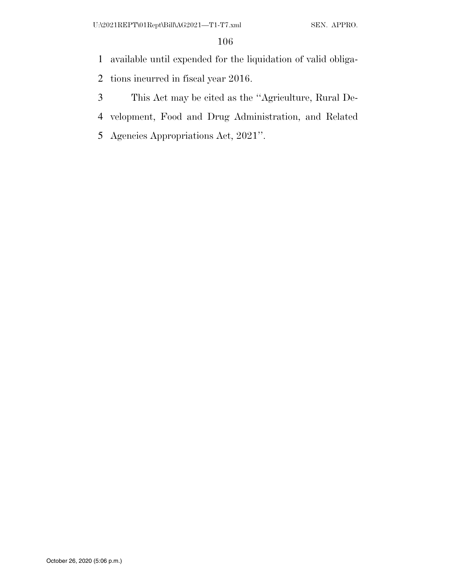- available until expended for the liquidation of valid obliga-
- tions incurred in fiscal year 2016.
- This Act may be cited as the ''Agriculture, Rural De-
- velopment, Food and Drug Administration, and Related
- Agencies Appropriations Act, 2021''.